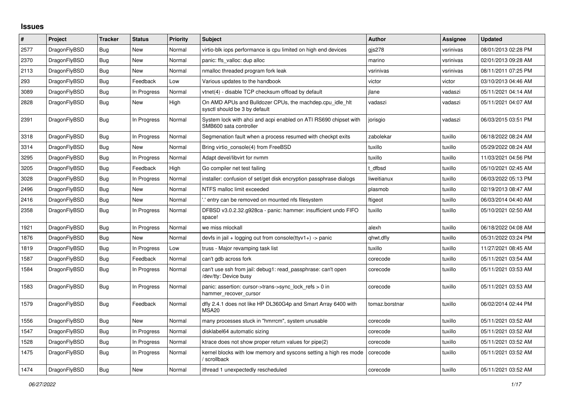## **Issues**

| $\#$ | <b>Project</b> | <b>Tracker</b> | <b>Status</b> | Priority | <b>Subject</b>                                                                             | <b>Author</b>  | Assignee  | <b>Updated</b>      |
|------|----------------|----------------|---------------|----------|--------------------------------------------------------------------------------------------|----------------|-----------|---------------------|
| 2577 | DragonFlyBSD   | Bug            | <b>New</b>    | Normal   | virtio-blk iops performance is cpu limited on high end devices                             | gis278         | vsrinivas | 08/01/2013 02:28 PM |
| 2370 | DragonFlyBSD   | Bug            | <b>New</b>    | Normal   | panic: ffs valloc: dup alloc                                                               | marino         | vsrinivas | 02/01/2013 09:28 AM |
| 2113 | DragonFlyBSD   | Bug            | New           | Normal   | nmalloc threaded program fork leak                                                         | vsrinivas      | vsrinivas | 08/11/2011 07:25 PM |
| 293  | DragonFlyBSD   | <b>Bug</b>     | Feedback      | Low      | Various updates to the handbook                                                            | victor         | victor    | 03/10/2013 04:46 AM |
| 3089 | DragonFlyBSD   | Bug            | In Progress   | Normal   | vtnet(4) - disable TCP checksum offload by default                                         | jlane          | vadaszi   | 05/11/2021 04:14 AM |
| 2828 | DragonFlyBSD   | <b>Bug</b>     | New           | High     | On AMD APUs and Bulldozer CPUs, the machdep.cpu_idle_hlt<br>sysctl should be 3 by default  | vadaszi        | vadaszi   | 05/11/2021 04:07 AM |
| 2391 | DragonFlyBSD   | <b>Bug</b>     | In Progress   | Normal   | System lock with ahci and acpi enabled on ATI RS690 chipset with<br>SMB600 sata controller | jorisgio       | vadaszi   | 06/03/2015 03:51 PM |
| 3318 | DragonFlyBSD   | Bug            | In Progress   | Normal   | Segmenation fault when a process resumed with checkpt exits                                | zabolekar      | tuxillo   | 06/18/2022 08:24 AM |
| 3314 | DragonFlyBSD   | <b>Bug</b>     | New           | Normal   | Bring virtio_console(4) from FreeBSD                                                       | tuxillo        | tuxillo   | 05/29/2022 08:24 AM |
| 3295 | DragonFlyBSD   | Bug            | In Progress   | Normal   | Adapt devel/libvirt for nymm                                                               | tuxillo        | tuxillo   | 11/03/2021 04:56 PM |
| 3205 | DragonFlyBSD   | <b>Bug</b>     | Feedback      | High     | Go compiler net test failing                                                               | t dfbsd        | tuxillo   | 05/10/2021 02:45 AM |
| 3028 | DragonFlyBSD   | Bug            | In Progress   | Normal   | installer: confusion of set/get disk encryption passphrase dialogs                         | liweitianux    | tuxillo   | 06/03/2022 05:13 PM |
| 2496 | DragonFlyBSD   | <b>Bug</b>     | New           | Normal   | NTFS malloc limit exceeded                                                                 | plasmob        | tuxillo   | 02/19/2013 08:47 AM |
| 2416 | DragonFlyBSD   | Bug            | New           | Normal   | ".' entry can be removed on mounted nfs filesystem                                         | ftigeot        | tuxillo   | 06/03/2014 04:40 AM |
| 2358 | DragonFlyBSD   | Bug            | In Progress   | Normal   | DFBSD v3.0.2.32.g928ca - panic: hammer: insufficient undo FIFO<br>space!                   | tuxillo        | tuxillo   | 05/10/2021 02:50 AM |
| 1921 | DragonFlyBSD   | <b>Bug</b>     | In Progress   | Normal   | we miss mlockall                                                                           | alexh          | tuxillo   | 06/18/2022 04:08 AM |
| 1876 | DragonFlyBSD   | <b>Bug</b>     | <b>New</b>    | Normal   | devfs in jail + logging out from console(ttyv1+) -> panic                                  | qhwt.dfly      | tuxillo   | 05/31/2022 03:24 PM |
| 1819 | DragonFlyBSD   | Bug            | In Progress   | Low      | truss - Major revamping task list                                                          | tuxillo        | tuxillo   | 11/27/2021 08:45 AM |
| 1587 | DragonFlyBSD   | <b>Bug</b>     | Feedback      | Normal   | can't gdb across fork                                                                      | corecode       | tuxillo   | 05/11/2021 03:54 AM |
| 1584 | DragonFlyBSD   | Bug            | In Progress   | Normal   | can't use ssh from jail: debug1: read passphrase: can't open<br>/dev/tty: Device busy      | corecode       | tuxillo   | 05/11/2021 03:53 AM |
| 1583 | DragonFlyBSD   | Bug            | In Progress   | Normal   | panic: assertion: cursor->trans->sync_lock_refs > 0 in<br>hammer recover cursor            | corecode       | tuxillo   | 05/11/2021 03:53 AM |
| 1579 | DragonFlyBSD   | Bug            | Feedback      | Normal   | dfly 2.4.1 does not like HP DL360G4p and Smart Array 6400 with<br>MSA <sub>20</sub>        | tomaz.borstnar | tuxillo   | 06/02/2014 02:44 PM |
| 1556 | DragonFlyBSD   | <b>Bug</b>     | New           | Normal   | many processes stuck in "hmrrcm", system unusable                                          | corecode       | tuxillo   | 05/11/2021 03:52 AM |
| 1547 | DragonFlyBSD   | Bug            | In Progress   | Normal   | disklabel64 automatic sizing                                                               | corecode       | tuxillo   | 05/11/2021 03:52 AM |
| 1528 | DragonFlyBSD   | Bug            | In Progress   | Normal   | ktrace does not show proper return values for pipe(2)                                      | corecode       | tuxillo   | 05/11/2021 03:52 AM |
| 1475 | DragonFlyBSD   | <b>Bug</b>     | In Progress   | Normal   | kernel blocks with low memory and syscons setting a high res mode<br>/ scrollback          | corecode       | tuxillo   | 05/11/2021 03:52 AM |
| 1474 | DragonFlyBSD   | <b>Bug</b>     | <b>New</b>    | Normal   | ithread 1 unexpectedly rescheduled                                                         | corecode       | tuxillo   | 05/11/2021 03:52 AM |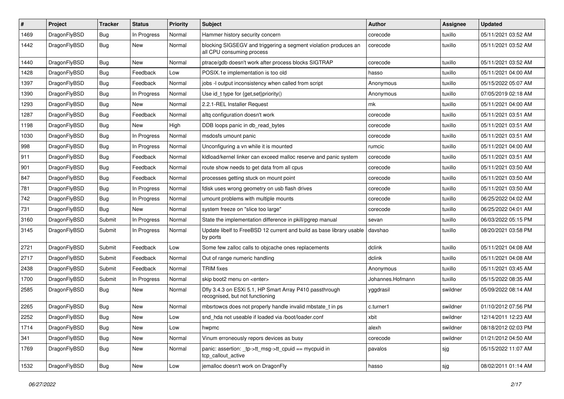| #    | Project      | <b>Tracker</b> | <b>Status</b> | <b>Priority</b> | Subject                                                                                      | <b>Author</b>    | Assignee | <b>Updated</b>      |
|------|--------------|----------------|---------------|-----------------|----------------------------------------------------------------------------------------------|------------------|----------|---------------------|
| 1469 | DragonFlyBSD | <b>Bug</b>     | In Progress   | Normal          | Hammer history security concern                                                              | corecode         | tuxillo  | 05/11/2021 03:52 AM |
| 1442 | DragonFlyBSD | <b>Bug</b>     | New           | Normal          | blocking SIGSEGV and triggering a segment violation produces an<br>all CPU consuming process | corecode         | tuxillo  | 05/11/2021 03:52 AM |
| 1440 | DragonFlyBSD | <b>Bug</b>     | New           | Normal          | ptrace/gdb doesn't work after process blocks SIGTRAP                                         | corecode         | tuxillo  | 05/11/2021 03:52 AM |
| 1428 | DragonFlyBSD | <b>Bug</b>     | Feedback      | Low             | POSIX.1e implementation is too old                                                           | hasso            | tuxillo  | 05/11/2021 04:00 AM |
| 1397 | DragonFlyBSD | <b>Bug</b>     | Feedback      | Normal          | jobs -I output inconsistency when called from script                                         | Anonymous        | tuxillo  | 05/15/2022 05:07 AM |
| 1390 | DragonFlyBSD | <b>Bug</b>     | In Progress   | Normal          | Use id_t type for {get,set}priority()                                                        | Anonymous        | tuxillo  | 07/05/2019 02:18 AM |
| 1293 | DragonFlyBSD | <b>Bug</b>     | New           | Normal          | 2.2.1-REL Installer Request                                                                  | mk               | tuxillo  | 05/11/2021 04:00 AM |
| 1287 | DragonFlyBSD | <b>Bug</b>     | Feedback      | Normal          | altq configuration doesn't work                                                              | corecode         | tuxillo  | 05/11/2021 03:51 AM |
| 1198 | DragonFlyBSD | <b>Bug</b>     | New           | High            | DDB loops panic in db read bytes                                                             | corecode         | tuxillo  | 05/11/2021 03:51 AM |
| 1030 | DragonFlyBSD | <b>Bug</b>     | In Progress   | Normal          | msdosfs umount panic                                                                         | corecode         | tuxillo  | 05/11/2021 03:51 AM |
| 998  | DragonFlyBSD | <b>Bug</b>     | In Progress   | Normal          | Unconfiguring a vn while it is mounted                                                       | rumcic           | tuxillo  | 05/11/2021 04:00 AM |
| 911  | DragonFlyBSD | <b>Bug</b>     | Feedback      | Normal          | kidload/kernel linker can exceed malloc reserve and panic system                             | corecode         | tuxillo  | 05/11/2021 03:51 AM |
| 901  | DragonFlyBSD | <b>Bug</b>     | Feedback      | Normal          | route show needs to get data from all cpus                                                   | corecode         | tuxillo  | 05/11/2021 03:50 AM |
| 847  | DragonFlyBSD | <b>Bug</b>     | Feedback      | Normal          | processes getting stuck on mount point                                                       | corecode         | tuxillo  | 05/11/2021 03:50 AM |
| 781  | DragonFlyBSD | <b>Bug</b>     | In Progress   | Normal          | fdisk uses wrong geometry on usb flash drives                                                | corecode         | tuxillo  | 05/11/2021 03:50 AM |
| 742  | DragonFlyBSD | <b>Bug</b>     | In Progress   | Normal          | umount problems with multiple mounts                                                         | corecode         | tuxillo  | 06/25/2022 04:02 AM |
| 731  | DragonFlyBSD | <b>Bug</b>     | <b>New</b>    | Normal          | system freeze on "slice too large"                                                           | corecode         | tuxillo  | 06/25/2022 04:01 AM |
| 3160 | DragonFlyBSD | Submit         | In Progress   | Normal          | State the implementation difference in pkill/pgrep manual                                    | sevan            | tuxillo  | 06/03/2022 05:15 PM |
| 3145 | DragonFlyBSD | Submit         | In Progress   | Normal          | Update libelf to FreeBSD 12 current and build as base library usable<br>by ports             | davshao          | tuxillo  | 08/20/2021 03:58 PM |
| 2721 | DragonFlyBSD | Submit         | Feedback      | Low             | Some few zalloc calls to objcache ones replacements                                          | dclink           | tuxillo  | 05/11/2021 04:08 AM |
| 2717 | DragonFlyBSD | Submit         | Feedback      | Normal          | Out of range numeric handling                                                                | dclink           | tuxillo  | 05/11/2021 04:08 AM |
| 2438 | DragonFlyBSD | Submit         | Feedback      | Normal          | <b>TRIM</b> fixes                                                                            | Anonymous        | tuxillo  | 05/11/2021 03:45 AM |
| 1700 | DragonFlyBSD | Submit         | In Progress   | Normal          | skip boot2 menu on <enter></enter>                                                           | Johannes.Hofmann | tuxillo  | 05/15/2022 08:35 AM |
| 2585 | DragonFlyBSD | Bug            | New           | Normal          | Dfly 3.4.3 on ESXi 5.1, HP Smart Array P410 passthrough<br>recognised, but not functioning   | yggdrasil        | swildner | 05/09/2022 08:14 AM |
| 2265 | DragonFlyBSD | <b>Bug</b>     | New           | Normal          | mbsrtowcs does not properly handle invalid mbstate_t in ps                                   | c.turner1        | swildner | 01/10/2012 07:56 PM |
| 2252 | DragonFlyBSD | Bug            | <b>New</b>    | Low             | snd_hda not useable if loaded via /boot/loader.conf                                          | xbit             | swildner | 12/14/2011 12:23 AM |
| 1714 | DragonFlyBSD | <b>Bug</b>     | <b>New</b>    | Low             | hwpmc                                                                                        | alexh            | swildner | 08/18/2012 02:03 PM |
| 341  | DragonFlyBSD | <b>Bug</b>     | <b>New</b>    | Normal          | Vinum erroneously repors devices as busy                                                     | corecode         | swildner | 01/21/2012 04:50 AM |
| 1769 | DragonFlyBSD | <b>Bug</b>     | New           | Normal          | panic: assertion: _tp->tt_msg->tt_cpuid == mycpuid in<br>tcp_callout_active                  | pavalos          | sjg      | 05/15/2022 11:07 AM |
| 1532 | DragonFlyBSD | <b>Bug</b>     | New           | Low             | jemalloc doesn't work on DragonFly                                                           | hasso            | sjg      | 08/02/2011 01:14 AM |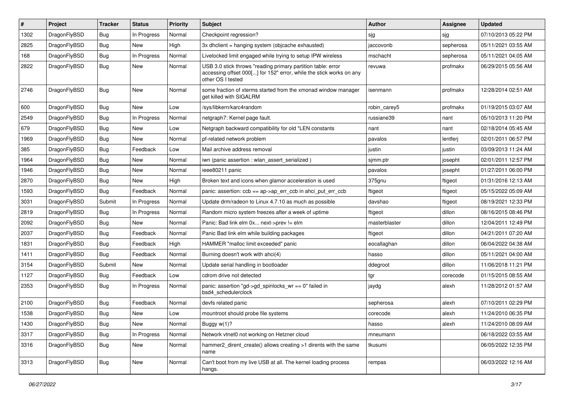| #    | Project      | <b>Tracker</b> | <b>Status</b> | <b>Priority</b> | Subject                                                                                                                                                  | <b>Author</b> | Assignee  | <b>Updated</b>      |
|------|--------------|----------------|---------------|-----------------|----------------------------------------------------------------------------------------------------------------------------------------------------------|---------------|-----------|---------------------|
| 1302 | DragonFlyBSD | <b>Bug</b>     | In Progress   | Normal          | Checkpoint regression?                                                                                                                                   | sjg           | sjg       | 07/10/2013 05:22 PM |
| 2825 | DragonFlyBSD | <b>Bug</b>     | <b>New</b>    | High            | 3x dhclient = hanging system (objcache exhausted)                                                                                                        | jaccovonb     | sepherosa | 05/11/2021 03:55 AM |
| 168  | DragonFlyBSD | <b>Bug</b>     | In Progress   | Normal          | Livelocked limit engaged while trying to setup IPW wireless                                                                                              | mschacht      | sepherosa | 05/11/2021 04:05 AM |
| 2822 | DragonFlyBSD | <b>Bug</b>     | New           | Normal          | USB 3.0 stick throws "reading primary partition table: error<br>accessing offset 000[] for 152" error, while the stick works on any<br>other OS I tested | revuwa        | profmakx  | 06/29/2015 05:56 AM |
| 2746 | DragonFlyBSD | Bug            | New           | Normal          | some fraction of xterms started from the xmonad window manager<br>get killed with SIGALRM                                                                | isenmann      | profmakx  | 12/28/2014 02:51 AM |
| 600  | DragonFlyBSD | Bug            | <b>New</b>    | Low             | /sys/libkern/karc4random                                                                                                                                 | robin carey5  | profmakx  | 01/19/2015 03:07 AM |
| 2549 | DragonFlyBSD | Bug            | In Progress   | Normal          | netgraph7: Kernel page fault.                                                                                                                            | russiane39    | nant      | 05/10/2013 11:20 PM |
| 679  | DragonFlyBSD | <b>Bug</b>     | New           | Low             | Netgraph backward compatibility for old *LEN constants                                                                                                   | nant          | nant      | 02/18/2014 05:45 AM |
| 1969 | DragonFlyBSD | <b>Bug</b>     | New           | Normal          | pf-related network problem                                                                                                                               | pavalos       | lentferj  | 02/01/2011 06:57 PM |
| 385  | DragonFlyBSD | Bug            | Feedback      | Low             | Mail archive address removal                                                                                                                             | justin        | justin    | 03/09/2013 11:24 AM |
| 1964 | DragonFlyBSD | <b>Bug</b>     | New           | Normal          | iwn (panic assertion : wlan_assert_serialized)                                                                                                           | sjmm.ptr      | josepht   | 02/01/2011 12:57 PM |
| 1946 | DragonFlyBSD | <b>Bug</b>     | New           | Normal          | ieee80211 panic                                                                                                                                          | pavalos       | josepht   | 01/27/2011 06:00 PM |
| 2870 | DragonFlyBSD | <b>Bug</b>     | New           | High            | Broken text and icons when glamor acceleration is used                                                                                                   | 375gnu        | ftigeot   | 01/31/2016 12:13 AM |
| 1593 | DragonFlyBSD | <b>Bug</b>     | Feedback      | Normal          | panic: assertion: $ccb = ap$ ap->ap err $ccb$ in ahci put err $ccb$                                                                                      | ftigeot       | ftigeot   | 05/15/2022 05:09 AM |
| 3031 | DragonFlyBSD | Submit         | In Progress   | Normal          | Update drm/radeon to Linux 4.7.10 as much as possible                                                                                                    | davshao       | ftigeot   | 08/19/2021 12:33 PM |
| 2819 | DragonFlyBSD | <b>Bug</b>     | In Progress   | Normal          | Random micro system freezes after a week of uptime                                                                                                       | ftigeot       | dillon    | 08/16/2015 08:46 PM |
| 2092 | DragonFlyBSD | Bug            | <b>New</b>    | Normal          | Panic: Bad link elm 0x next->prev != elm                                                                                                                 | masterblaster | dillon    | 12/04/2011 12:49 PM |
| 2037 | DragonFlyBSD | <b>Bug</b>     | Feedback      | Normal          | Panic Bad link elm while building packages                                                                                                               | ftigeot       | dillon    | 04/21/2011 07:20 AM |
| 1831 | DragonFlyBSD | <b>Bug</b>     | Feedback      | High            | HAMMER "malloc limit exceeded" panic                                                                                                                     | eocallaghan   | dillon    | 06/04/2022 04:38 AM |
| 1411 | DragonFlyBSD | Bug            | Feedback      | Normal          | Burning doesn't work with ahci(4)                                                                                                                        | hasso         | dillon    | 05/11/2021 04:00 AM |
| 3154 | DragonFlyBSD | Submit         | New           | Normal          | Update serial handling in bootloader                                                                                                                     | ddegroot      | dillon    | 11/06/2018 11:21 PM |
| 1127 | DragonFlyBSD | <b>Bug</b>     | Feedback      | Low             | cdrom drive not detected                                                                                                                                 | tgr           | corecode  | 01/15/2015 08:55 AM |
| 2353 | DragonFlyBSD | Bug            | In Progress   | Normal          | panic: assertion "gd->gd spinlocks $wr == 0$ " failed in<br>bsd4 schedulerclock                                                                          | jaydg         | alexh     | 11/28/2012 01:57 AM |
| 2100 | DragonFlyBSD | Bug            | Feedback      | Normal          | devfs related panic                                                                                                                                      | sepherosa     | alexh     | 07/10/2011 02:29 PM |
| 1538 | DragonFlyBSD | Bug            | New           | Low             | mountroot should probe file systems                                                                                                                      | corecode      | alexh     | 11/24/2010 06:35 PM |
| 1430 | DragonFlyBSD | <b>Bug</b>     | New           | Normal          | Buggy w(1)?                                                                                                                                              | hasso         | alexh     | 11/24/2010 08:09 AM |
| 3317 | DragonFlyBSD | <b>Bug</b>     | In Progress   | Normal          | Network vtnet0 not working on Hetzner cloud                                                                                                              | mneumann      |           | 06/18/2022 03:55 AM |
| 3316 | DragonFlyBSD | <b>Bug</b>     | New           | Normal          | hammer2_dirent_create() allows creating >1 dirents with the same<br>name                                                                                 | tkusumi       |           | 06/05/2022 12:35 PM |
| 3313 | DragonFlyBSD | <b>Bug</b>     | New           | Normal          | Can't boot from my live USB at all. The kernel loading process<br>hangs.                                                                                 | rempas        |           | 06/03/2022 12:16 AM |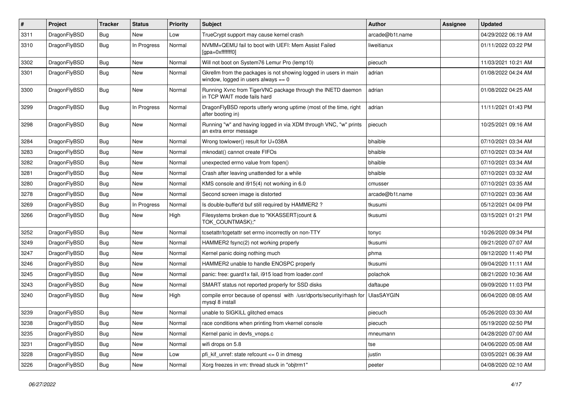| #    | Project      | <b>Tracker</b> | <b>Status</b> | <b>Priority</b> | Subject                                                                                                   | <b>Author</b>     | <b>Assignee</b> | <b>Updated</b>      |
|------|--------------|----------------|---------------|-----------------|-----------------------------------------------------------------------------------------------------------|-------------------|-----------------|---------------------|
| 3311 | DragonFlyBSD | Bug            | <b>New</b>    | Low             | TrueCrypt support may cause kernel crash                                                                  | arcade@b1t.name   |                 | 04/29/2022 06:19 AM |
| 3310 | DragonFlyBSD | <b>Bug</b>     | In Progress   | Normal          | NVMM+QEMU fail to boot with UEFI: Mem Assist Failed<br>[gpa=0xfffffff0]                                   | liweitianux       |                 | 01/11/2022 03:22 PM |
| 3302 | DragonFlyBSD | Bug            | <b>New</b>    | Normal          | Will not boot on System76 Lemur Pro (lemp10)                                                              | piecuch           |                 | 11/03/2021 10:21 AM |
| 3301 | DragonFlyBSD | Bug            | New           | Normal          | Gkrellm from the packages is not showing logged in users in main<br>window, logged in users always $== 0$ | adrian            |                 | 01/08/2022 04:24 AM |
| 3300 | DragonFlyBSD | Bug            | New           | Normal          | Running Xvnc from TigerVNC package through the INETD daemon<br>in TCP WAIT mode fails hard                | adrian            |                 | 01/08/2022 04:25 AM |
| 3299 | DragonFlyBSD | Bug            | In Progress   | Normal          | DragonFlyBSD reports utterly wrong uptime (most of the time, right<br>after booting in)                   | adrian            |                 | 11/11/2021 01:43 PM |
| 3298 | DragonFlyBSD | Bug            | <b>New</b>    | Normal          | Running "w" and having logged in via XDM through VNC, "w" prints<br>an extra error message                | piecuch           |                 | 10/25/2021 09:16 AM |
| 3284 | DragonFlyBSD | Bug            | <b>New</b>    | Normal          | Wrong towlower() result for U+038A                                                                        | bhaible           |                 | 07/10/2021 03:34 AM |
| 3283 | DragonFlyBSD | Bug            | New           | Normal          | mknodat() cannot create FIFOs                                                                             | bhaible           |                 | 07/10/2021 03:34 AM |
| 3282 | DragonFlyBSD | Bug            | New           | Normal          | unexpected errno value from fopen()                                                                       | bhaible           |                 | 07/10/2021 03:34 AM |
| 3281 | DragonFlyBSD | Bug            | New           | Normal          | Crash after leaving unattended for a while                                                                | bhaible           |                 | 07/10/2021 03:32 AM |
| 3280 | DragonFlyBSD | Bug            | <b>New</b>    | Normal          | KMS console and i915(4) not working in 6.0                                                                | cmusser           |                 | 07/10/2021 03:35 AM |
| 3278 | DragonFlyBSD | Bug            | New           | Normal          | Second screen image is distorted                                                                          | arcade@b1t.name   |                 | 07/10/2021 03:36 AM |
| 3269 | DragonFlyBSD | Bug            | In Progress   | Normal          | Is double-buffer'd buf still required by HAMMER2?                                                         | tkusumi           |                 | 05/12/2021 04:09 PM |
| 3266 | DragonFlyBSD | Bug            | <b>New</b>    | High            | Filesystems broken due to "KKASSERT(count &<br>TOK_COUNTMASK);"                                           | tkusumi           |                 | 03/15/2021 01:21 PM |
| 3252 | DragonFlyBSD | Bug            | New           | Normal          | tcsetattr/tcgetattr set errno incorrectly on non-TTY                                                      | tonyc             |                 | 10/26/2020 09:34 PM |
| 3249 | DragonFlyBSD | Bug            | New           | Normal          | HAMMER2 fsync(2) not working properly                                                                     | tkusumi           |                 | 09/21/2020 07:07 AM |
| 3247 | DragonFlyBSD | Bug            | New           | Normal          | Kernel panic doing nothing much                                                                           | phma              |                 | 09/12/2020 11:40 PM |
| 3246 | DragonFlyBSD | Bug            | New           | Normal          | HAMMER2 unable to handle ENOSPC properly                                                                  | tkusumi           |                 | 09/04/2020 11:11 AM |
| 3245 | DragonFlyBSD | Bug            | New           | Normal          | panic: free: guard1x fail, i915 load from loader.conf                                                     | polachok          |                 | 08/21/2020 10:36 AM |
| 3243 | DragonFlyBSD | Bug            | New           | Normal          | SMART status not reported properly for SSD disks                                                          | daftaupe          |                 | 09/09/2020 11:03 PM |
| 3240 | DragonFlyBSD | Bug            | <b>New</b>    | High            | compile error because of openssl with /usr/dports/security/rhash for<br>mysql 8 install                   | <b>UlasSAYGIN</b> |                 | 06/04/2020 08:05 AM |
| 3239 | DragonFlyBSD | Bug            | <b>New</b>    | Normal          | unable to SIGKILL glitched emacs                                                                          | piecuch           |                 | 05/26/2020 03:30 AM |
| 3238 | DragonFlyBSD | <b>Bug</b>     | <b>New</b>    | Normal          | race conditions when printing from vkernel console                                                        | piecuch           |                 | 05/19/2020 02:50 PM |
| 3235 | DragonFlyBSD | <b>Bug</b>     | New           | Normal          | Kernel panic in devfs vnops.c                                                                             | mneumann          |                 | 04/28/2020 07:00 AM |
| 3231 | DragonFlyBSD | <b>Bug</b>     | New           | Normal          | wifi drops on 5.8                                                                                         | tse               |                 | 04/06/2020 05:08 AM |
| 3228 | DragonFlyBSD | <b>Bug</b>     | <b>New</b>    | Low             | pfi_kif_unref: state refcount <= 0 in dmesg                                                               | justin            |                 | 03/05/2021 06:39 AM |
| 3226 | DragonFlyBSD | <b>Bug</b>     | New           | Normal          | Xorg freezes in vm: thread stuck in "objtrm1"                                                             | peeter            |                 | 04/08/2020 02:10 AM |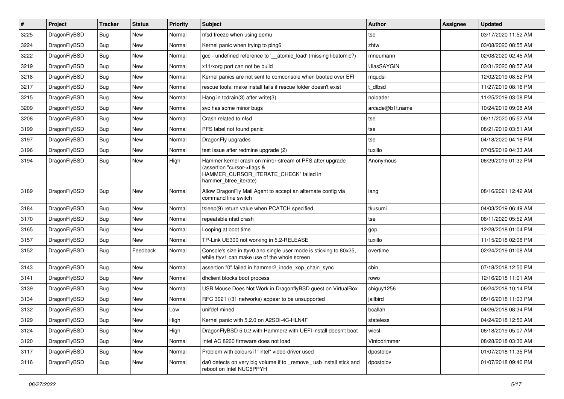| $\pmb{\#}$ | Project      | <b>Tracker</b> | <b>Status</b> | <b>Priority</b> | Subject                                                                                                                                                     | <b>Author</b>     | Assignee | <b>Updated</b>      |
|------------|--------------|----------------|---------------|-----------------|-------------------------------------------------------------------------------------------------------------------------------------------------------------|-------------------|----------|---------------------|
| 3225       | DragonFlyBSD | Bug            | New           | Normal          | nfsd freeze when using gemu                                                                                                                                 | tse               |          | 03/17/2020 11:52 AM |
| 3224       | DragonFlyBSD | Bug            | <b>New</b>    | Normal          | Kernel panic when trying to ping6                                                                                                                           | zhtw              |          | 03/08/2020 08:55 AM |
| 3222       | DragonFlyBSD | Bug            | New           | Normal          | gcc - undefined reference to '__atomic_load' (missing libatomic?)                                                                                           | mneumann          |          | 02/08/2020 02:45 AM |
| 3219       | DragonFlyBSD | Bug            | <b>New</b>    | Normal          | x11/xorg port can not be build                                                                                                                              | <b>UlasSAYGIN</b> |          | 03/31/2020 08:57 AM |
| 3218       | DragonFlyBSD | Bug            | <b>New</b>    | Normal          | Kernel panics are not sent to comconsole when booted over EFI                                                                                               | mqudsi            |          | 12/02/2019 08:52 PM |
| 3217       | DragonFlyBSD | Bug            | New           | Normal          | rescue tools: make install fails if rescue folder doesn't exist                                                                                             | dfbsd             |          | 11/27/2019 08:16 PM |
| 3215       | DragonFlyBSD | Bug            | <b>New</b>    | Normal          | Hang in tcdrain(3) after write(3)                                                                                                                           | noloader          |          | 11/25/2019 03:08 PM |
| 3209       | DragonFlyBSD | Bug            | <b>New</b>    | Normal          | svc has some minor bugs                                                                                                                                     | arcade@b1t.name   |          | 10/24/2019 09:08 AM |
| 3208       | DragonFlyBSD | Bug            | <b>New</b>    | Normal          | Crash related to nfsd                                                                                                                                       | tse               |          | 06/11/2020 05:52 AM |
| 3199       | DragonFlyBSD | Bug            | <b>New</b>    | Normal          | PFS label not found panic                                                                                                                                   | tse               |          | 08/21/2019 03:51 AM |
| 3197       | DragonFlyBSD | Bug            | <b>New</b>    | Normal          | DragonFly upgrades                                                                                                                                          | tse               |          | 04/18/2020 04:18 PM |
| 3196       | DragonFlyBSD | Bug            | <b>New</b>    | Normal          | test issue after redmine upgrade (2)                                                                                                                        | tuxillo           |          | 07/05/2019 04:33 AM |
| 3194       | DragonFlyBSD | Bug            | New           | High            | Hammer kernel crash on mirror-stream of PFS after upgrade<br>(assertion "cursor->flags &<br>HAMMER_CURSOR_ITERATE_CHECK" failed in<br>hammer btree iterate) | Anonymous         |          | 06/29/2019 01:32 PM |
| 3189       | DragonFlyBSD | Bug            | <b>New</b>    | Normal          | Allow DragonFly Mail Agent to accept an alternate config via<br>command line switch                                                                         | iang              |          | 08/16/2021 12:42 AM |
| 3184       | DragonFlyBSD | <b>Bug</b>     | <b>New</b>    | Normal          | tsleep(9) return value when PCATCH specified                                                                                                                | tkusumi           |          | 04/03/2019 06:49 AM |
| 3170       | DragonFlyBSD | Bug            | <b>New</b>    | Normal          | repeatable nfsd crash                                                                                                                                       | tse               |          | 06/11/2020 05:52 AM |
| 3165       | DragonFlyBSD | Bug            | <b>New</b>    | Normal          | Looping at boot time                                                                                                                                        | gop               |          | 12/28/2018 01:04 PM |
| 3157       | DragonFlyBSD | Bug            | New           | Normal          | TP-Link UE300 not working in 5.2-RELEASE                                                                                                                    | tuxillo           |          | 11/15/2018 02:08 PM |
| 3152       | DragonFlyBSD | Bug            | Feedback      | Normal          | Console's size in ttyv0 and single user mode is sticking to 80x25,<br>while ttyv1 can make use of the whole screen                                          | overtime          |          | 02/24/2019 01:08 AM |
| 3143       | DragonFlyBSD | Bug            | <b>New</b>    | Normal          | assertion "0" failed in hammer2_inode_xop_chain_sync                                                                                                        | cbin              |          | 07/18/2018 12:50 PM |
| 3141       | DragonFlyBSD | Bug            | <b>New</b>    | Normal          | dhclient blocks boot process                                                                                                                                | rowo              |          | 12/16/2018 11:01 AM |
| 3139       | DragonFlyBSD | Bug            | New           | Normal          | USB Mouse Does Not Work in DragonflyBSD guest on VirtualBox                                                                                                 | chiguy1256        |          | 06/24/2018 10:14 PM |
| 3134       | DragonFlyBSD | Bug            | <b>New</b>    | Normal          | RFC 3021 (/31 networks) appear to be unsupported                                                                                                            | jailbird          |          | 05/16/2018 11:03 PM |
| 3132       | DragonFlyBSD | Bug            | New           | Low             | unifdef mined                                                                                                                                               | bcallah           |          | 04/26/2018 08:34 PM |
| 3129       | DragonFlyBSD | Bug            | New           | High            | Kernel panic with 5.2.0 on A2SDi-4C-HLN4F                                                                                                                   | stateless         |          | 04/24/2018 12:50 AM |
| 3124       | DragonFlyBSD | Bug            | New           | High            | DragonFlyBSD 5.0.2 with Hammer2 with UEFI install doesn't boot                                                                                              | wiesl             |          | 06/18/2019 05:07 AM |
| 3120       | DragonFlyBSD | <b>Bug</b>     | New           | Normal          | Intel AC 8260 firmware does not load                                                                                                                        | Vintodrimmer      |          | 08/28/2018 03:30 AM |
| 3117       | DragonFlyBSD | Bug            | New           | Normal          | Problem with colours if "intel" video-driver used                                                                                                           | dpostolov         |          | 01/07/2018 11:35 PM |
| 3116       | DragonFlyBSD | <b>Bug</b>     | New           | Normal          | da0 detects on very big volume if to _remove_ usb install stick and<br>reboot on Intel NUC5PPYH                                                             | dpostolov         |          | 01/07/2018 09:40 PM |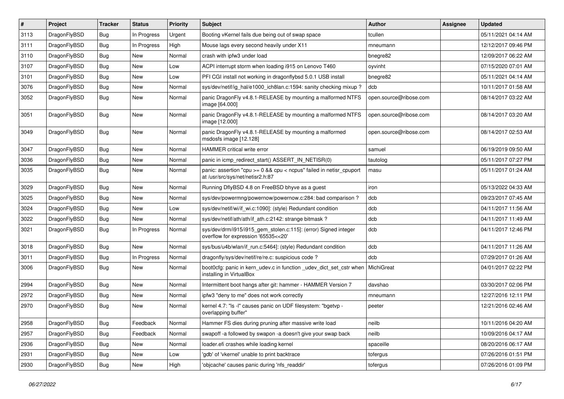| $\vert$ # | Project      | <b>Tracker</b> | <b>Status</b> | <b>Priority</b> | <b>Subject</b>                                                                                          | <b>Author</b>          | <b>Assignee</b> | <b>Updated</b>      |
|-----------|--------------|----------------|---------------|-----------------|---------------------------------------------------------------------------------------------------------|------------------------|-----------------|---------------------|
| 3113      | DragonFlyBSD | <b>Bug</b>     | In Progress   | Urgent          | Booting vKernel fails due being out of swap space                                                       | tcullen                |                 | 05/11/2021 04:14 AM |
| 3111      | DragonFlyBSD | Bug            | In Progress   | High            | Mouse lags every second heavily under X11                                                               | mneumann               |                 | 12/12/2017 09:46 PM |
| 3110      | DragonFlyBSD | <b>Bug</b>     | <b>New</b>    | Normal          | crash with ipfw3 under load                                                                             | bnegre82               |                 | 12/09/2017 06:22 AM |
| 3107      | DragonFlyBSD | Bug            | <b>New</b>    | Low             | ACPI interrupt storm when loading i915 on Lenovo T460                                                   | oyvinht                |                 | 07/15/2020 07:01 AM |
| 3101      | DragonFlyBSD | <b>Bug</b>     | <b>New</b>    | Low             | PFI CGI install not working in dragonflybsd 5.0.1 USB install                                           | bnegre82               |                 | 05/11/2021 04:14 AM |
| 3076      | DragonFlyBSD | <b>Bug</b>     | New           | Normal          | sys/dev/netif/ig hal/e1000 ich8lan.c:1594: sanity checking mixup?                                       | dcb                    |                 | 10/11/2017 01:58 AM |
| 3052      | DragonFlyBSD | Bug            | <b>New</b>    | Normal          | panic DragonFly v4.8.1-RELEASE by mounting a malformed NTFS<br>image [64.000]                           | open.source@ribose.com |                 | 08/14/2017 03:22 AM |
| 3051      | DragonFlyBSD | Bug            | <b>New</b>    | Normal          | panic DragonFly v4.8.1-RELEASE by mounting a malformed NTFS<br>image [12.000]                           | open.source@ribose.com |                 | 08/14/2017 03:20 AM |
| 3049      | DragonFlyBSD | <b>Bug</b>     | New           | Normal          | panic DragonFly v4.8.1-RELEASE by mounting a malformed<br>msdosfs image [12.128]                        | open.source@ribose.com |                 | 08/14/2017 02:53 AM |
| 3047      | DragonFlyBSD | <b>Bug</b>     | <b>New</b>    | Normal          | HAMMER critical write error                                                                             | samuel                 |                 | 06/19/2019 09:50 AM |
| 3036      | DragonFlyBSD | <b>Bug</b>     | <b>New</b>    | Normal          | panic in icmp redirect start() ASSERT IN NETISR(0)                                                      | tautolog               |                 | 05/11/2017 07:27 PM |
| 3035      | DragonFlyBSD | Bug            | <b>New</b>    | Normal          | panic: assertion "cpu >= 0 && cpu < ncpus" failed in netisr_cpuport<br>at /usr/src/sys/net/netisr2.h:87 | masu                   |                 | 05/11/2017 01:24 AM |
| 3029      | DragonFlyBSD | <b>Bug</b>     | <b>New</b>    | Normal          | Running DflyBSD 4.8 on FreeBSD bhyve as a guest                                                         | iron                   |                 | 05/13/2022 04:33 AM |
| 3025      | DragonFlyBSD | Bug            | <b>New</b>    | Normal          | sys/dev/powermng/powernow/powernow.c:284: bad comparison?                                               | dcb                    |                 | 09/23/2017 07:45 AM |
| 3024      | DragonFlyBSD | <b>Bug</b>     | <b>New</b>    | Low             | sys/dev/netif/wi/if wi.c:1090]: (style) Redundant condition                                             | dcb                    |                 | 04/11/2017 11:56 AM |
| 3022      | DragonFlyBSD | Bug            | <b>New</b>    | Normal          | sys/dev/netif/ath/ath/if ath.c:2142: strange bitmask?                                                   | dcb                    |                 | 04/11/2017 11:49 AM |
| 3021      | DragonFlyBSD | Bug            | In Progress   | Normal          | sys/dev/drm/i915/i915_gem_stolen.c:115]: (error) Signed integer<br>overflow for expression '65535<<20'  | dcb                    |                 | 04/11/2017 12:46 PM |
| 3018      | DragonFlyBSD | Bug            | New           | Normal          | sys/bus/u4b/wlan/if_run.c:5464]: (style) Redundant condition                                            | dcb                    |                 | 04/11/2017 11:26 AM |
| 3011      | DragonFlyBSD | <b>Bug</b>     | In Progress   | Normal          | dragonfly/sys/dev/netif/re/re.c: suspicious code?                                                       | dcb                    |                 | 07/29/2017 01:26 AM |
| 3006      | DragonFlyBSD | Bug            | New           | Normal          | boot0cfg: panic in kern_udev.c in function _udev_dict_set_cstr when<br>installing in VirtualBox         | MichiGreat             |                 | 04/01/2017 02:22 PM |
| 2994      | DragonFlyBSD | <b>Bug</b>     | <b>New</b>    | Normal          | Intermittent boot hangs after git: hammer - HAMMER Version 7                                            | davshao                |                 | 03/30/2017 02:06 PM |
| 2972      | DragonFlyBSD | <b>Bug</b>     | <b>New</b>    | Normal          | ipfw3 "deny to me" does not work correctly                                                              | mneumann               |                 | 12/27/2016 12:11 PM |
| 2970      | DragonFlyBSD | <b>Bug</b>     | <b>New</b>    | Normal          | kernel 4.7: "Is -I" causes panic on UDF filesystem: "bgetvp -<br>overlapping buffer"                    | peeter                 |                 | 12/21/2016 02:46 AM |
| 2958      | DragonFlyBSD | <b>Bug</b>     | Feedback      | Normal          | Hammer FS dies during pruning after massive write load                                                  | neilb                  |                 | 10/11/2016 04:20 AM |
| 2957      | DragonFlyBSD | <b>Bug</b>     | Feedback      | Normal          | swapoff-a followed by swapon-a doesn't give your swap back                                              | neilb                  |                 | 10/09/2016 04:17 AM |
| 2936      | DragonFlyBSD | <b>Bug</b>     | New           | Normal          | loader.efi crashes while loading kernel                                                                 | spaceille              |                 | 08/20/2016 06:17 AM |
| 2931      | DragonFlyBSD | <b>Bug</b>     | New           | Low             | 'gdb' of 'vkernel' unable to print backtrace                                                            | tofergus               |                 | 07/26/2016 01:51 PM |
| 2930      | DragonFlyBSD | <b>Bug</b>     | New           | High            | 'objcache' causes panic during 'nfs_readdir'                                                            | tofergus               |                 | 07/26/2016 01:09 PM |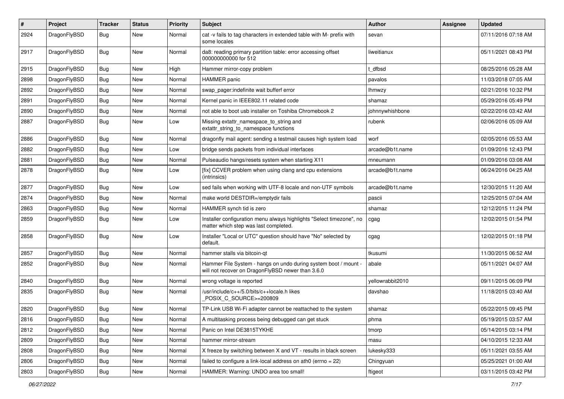| $\pmb{\#}$ | Project      | <b>Tracker</b> | <b>Status</b> | <b>Priority</b> | <b>Subject</b>                                                                                                       | Author           | Assignee | <b>Updated</b>      |
|------------|--------------|----------------|---------------|-----------------|----------------------------------------------------------------------------------------------------------------------|------------------|----------|---------------------|
| 2924       | DragonFlyBSD | Bug            | New           | Normal          | cat -v fails to tag characters in extended table with M- prefix with<br>some locales                                 | sevan            |          | 07/11/2016 07:18 AM |
| 2917       | DragonFlyBSD | <b>Bug</b>     | <b>New</b>    | Normal          | da8: reading primary partition table: error accessing offset<br>000000000000 for 512                                 | liweitianux      |          | 05/11/2021 08:43 PM |
| 2915       | DragonFlyBSD | <b>Bug</b>     | <b>New</b>    | High            | Hammer mirror-copy problem                                                                                           | t dfbsd          |          | 08/25/2016 05:28 AM |
| 2898       | DragonFlyBSD | <b>Bug</b>     | New           | Normal          | <b>HAMMER</b> panic                                                                                                  | pavalos          |          | 11/03/2018 07:05 AM |
| 2892       | DragonFlyBSD | Bug            | New           | Normal          | swap_pager:indefinite wait bufferf error                                                                             | lhmwzy           |          | 02/21/2016 10:32 PM |
| 2891       | DragonFlyBSD | <b>Bug</b>     | New           | Normal          | Kernel panic in IEEE802.11 related code                                                                              | shamaz           |          | 05/29/2016 05:49 PM |
| 2890       | DragonFlyBSD | Bug            | New           | Normal          | not able to boot usb installer on Toshiba Chromebook 2                                                               | johnnywhishbone  |          | 02/22/2016 03:42 AM |
| 2887       | DragonFlyBSD | Bug            | New           | Low             | Missing extattr_namespace_to_string and<br>extattr_string_to_namespace functions                                     | rubenk           |          | 02/06/2016 05:09 AM |
| 2886       | DragonFlyBSD | <b>Bug</b>     | New           | Normal          | dragonfly mail agent: sending a testmail causes high system load                                                     | worf             |          | 02/05/2016 05:53 AM |
| 2882       | DragonFlyBSD | <b>Bug</b>     | <b>New</b>    | Low             | bridge sends packets from individual interfaces                                                                      | arcade@b1t.name  |          | 01/09/2016 12:43 PM |
| 2881       | DragonFlyBSD | <b>Bug</b>     | New           | Normal          | Pulseaudio hangs/resets system when starting X11                                                                     | mneumann         |          | 01/09/2016 03:08 AM |
| 2878       | DragonFlyBSD | Bug            | New           | Low             | [fix] CCVER problem when using clang and cpu extensions<br>(intrinsics)                                              | arcade@b1t.name  |          | 06/24/2016 04:25 AM |
| 2877       | DragonFlyBSD | Bug            | New           | Low             | sed fails when working with UTF-8 locale and non-UTF symbols                                                         | arcade@b1t.name  |          | 12/30/2015 11:20 AM |
| 2874       | DragonFlyBSD | Bug            | New           | Normal          | make world DESTDIR=/emptydir fails                                                                                   | pascii           |          | 12/25/2015 07:04 AM |
| 2863       | DragonFlyBSD | Bug            | New           | Normal          | HAMMER synch tid is zero                                                                                             | shamaz           |          | 12/12/2015 11:24 PM |
| 2859       | DragonFlyBSD | <b>Bug</b>     | New           | Low             | Installer configuration menu always highlights "Select timezone", no<br>matter which step was last completed.        | cgag             |          | 12/02/2015 01:54 PM |
| 2858       | DragonFlyBSD | Bug            | New           | Low             | Installer "Local or UTC" question should have "No" selected by<br>default.                                           | cgag             |          | 12/02/2015 01:18 PM |
| 2857       | DragonFlyBSD | <b>Bug</b>     | New           | Normal          | hammer stalls via bitcoin-gt                                                                                         | tkusumi          |          | 11/30/2015 06:52 AM |
| 2852       | DragonFlyBSD | Bug            | New           | Normal          | Hammer File System - hangs on undo during system boot / mount -<br>will not recover on DragonFlyBSD newer than 3.6.0 | abale            |          | 05/11/2021 04:07 AM |
| 2840       | DragonFlyBSD | <b>Bug</b>     | New           | Normal          | wrong voltage is reported                                                                                            | yellowrabbit2010 |          | 09/11/2015 06:09 PM |
| 2835       | DragonFlyBSD | <b>Bug</b>     | New           | Normal          | /usr/include/c++/5.0/bits/c++locale.h likes<br>POSIX_C_SOURCE>=200809                                                | davshao          |          | 11/18/2015 03:40 AM |
| 2820       | DragonFlyBSD | <b>Bug</b>     | New           | Normal          | TP-Link USB Wi-Fi adapter cannot be reattached to the system                                                         | shamaz           |          | 05/22/2015 09:45 PM |
| 2816       | DragonFlyBSD | <b>Bug</b>     | New           | Normal          | A multitasking process being debugged can get stuck                                                                  | phma             |          | 05/19/2015 03:57 AM |
| 2812       | DragonFlyBSD | <b>Bug</b>     | New           | Normal          | Panic on Intel DE3815TYKHE                                                                                           | tmorp            |          | 05/14/2015 03:14 PM |
| 2809       | DragonFlyBSD | <b>Bug</b>     | <b>New</b>    | Normal          | hammer mirror-stream                                                                                                 | masu             |          | 04/10/2015 12:33 AM |
| 2808       | DragonFlyBSD | Bug            | New           | Normal          | X freeze by switching between X and VT - results in black screen                                                     | lukesky333       |          | 05/11/2021 03:55 AM |
| 2806       | DragonFlyBSD | Bug            | New           | Normal          | failed to configure a link-local address on ath $0$ (errno = 22)                                                     | Chingyuan        |          | 05/25/2021 01:00 AM |
| 2803       | DragonFlyBSD | Bug            | New           | Normal          | HAMMER: Warning: UNDO area too small!                                                                                | ftigeot          |          | 03/11/2015 03:42 PM |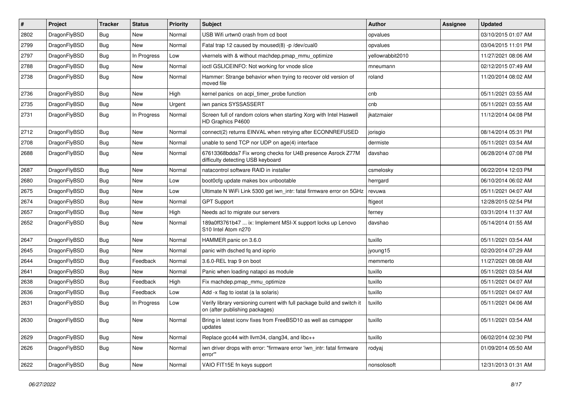| $\#$ | Project      | <b>Tracker</b> | <b>Status</b> | <b>Priority</b> | Subject                                                                                                   | <b>Author</b>    | Assignee | <b>Updated</b>      |
|------|--------------|----------------|---------------|-----------------|-----------------------------------------------------------------------------------------------------------|------------------|----------|---------------------|
| 2802 | DragonFlyBSD | <b>Bug</b>     | <b>New</b>    | Normal          | USB Wifi urtwn0 crash from cd boot                                                                        | opvalues         |          | 03/10/2015 01:07 AM |
| 2799 | DragonFlyBSD | <b>Bug</b>     | New           | Normal          | Fatal trap 12 caused by moused(8) -p /dev/cual0                                                           | opvalues         |          | 03/04/2015 11:01 PM |
| 2797 | DragonFlyBSD | <b>Bug</b>     | In Progress   | Low             | vkernels with & without machdep.pmap_mmu_optimize                                                         | yellowrabbit2010 |          | 11/27/2021 08:06 AM |
| 2788 | DragonFlyBSD | <b>Bug</b>     | New           | Normal          | ioctl GSLICEINFO: Not working for vnode slice                                                             | mneumann         |          | 02/12/2015 07:49 AM |
| 2738 | DragonFlyBSD | <b>Bug</b>     | New           | Normal          | Hammer: Strange behavior when trying to recover old version of<br>moved file                              | roland           |          | 11/20/2014 08:02 AM |
| 2736 | DragonFlyBSD | <b>Bug</b>     | <b>New</b>    | High            | kernel panics on acpi_timer_probe function                                                                | cnb              |          | 05/11/2021 03:55 AM |
| 2735 | DragonFlyBSD | <b>Bug</b>     | New           | Urgent          | iwn panics SYSSASSERT                                                                                     | cnb              |          | 05/11/2021 03:55 AM |
| 2731 | DragonFlyBSD | Bug            | In Progress   | Normal          | Screen full of random colors when starting Xorg with Intel Haswell<br>HD Graphics P4600                   | jkatzmaier       |          | 11/12/2014 04:08 PM |
| 2712 | DragonFlyBSD | Bug            | New           | Normal          | connect(2) returns EINVAL when retrying after ECONNREFUSED                                                | jorisgio         |          | 08/14/2014 05:31 PM |
| 2708 | DragonFlyBSD | Bug            | New           | Normal          | unable to send TCP nor UDP on age(4) interface                                                            | dermiste         |          | 05/11/2021 03:54 AM |
| 2688 | DragonFlyBSD | <b>Bug</b>     | New           | Normal          | 67613368bdda7 Fix wrong checks for U4B presence Asrock Z77M<br>difficulty detecting USB keyboard          | davshao          |          | 06/28/2014 07:08 PM |
| 2687 | DragonFlyBSD | <b>Bug</b>     | <b>New</b>    | Normal          | natacontrol software RAID in installer                                                                    | csmelosky        |          | 06/22/2014 12:03 PM |
| 2680 | DragonFlyBSD | Bug            | New           | Low             | boot0cfg update makes box unbootable                                                                      | herrgard         |          | 06/10/2014 06:02 AM |
| 2675 | DragonFlyBSD | <b>Bug</b>     | New           | Low             | Ultimate N WiFi Link 5300 get iwn_intr: fatal firmware error on 5GHz                                      | revuwa           |          | 05/11/2021 04:07 AM |
| 2674 | DragonFlyBSD | <b>Bug</b>     | New           | Normal          | <b>GPT Support</b>                                                                                        | ftigeot          |          | 12/28/2015 02:54 PM |
| 2657 | DragonFlyBSD | <b>Bug</b>     | New           | High            | Needs acl to migrate our servers                                                                          | ferney           |          | 03/31/2014 11:37 AM |
| 2652 | DragonFlyBSD | Bug            | New           | Normal          | 189a0ff3761b47  ix: Implement MSI-X support locks up Lenovo<br>S10 Intel Atom n270                        | davshao          |          | 05/14/2014 01:55 AM |
| 2647 | DragonFlyBSD | Bug            | New           | Normal          | HAMMER panic on 3.6.0                                                                                     | tuxillo          |          | 05/11/2021 03:54 AM |
| 2645 | DragonFlyBSD | <b>Bug</b>     | <b>New</b>    | Normal          | panic with dsched fq and ioprio                                                                           | jyoung15         |          | 02/20/2014 07:29 AM |
| 2644 | DragonFlyBSD | Bug            | Feedback      | Normal          | 3.6.0-REL trap 9 on boot                                                                                  | memmerto         |          | 11/27/2021 08:08 AM |
| 2641 | DragonFlyBSD | Bug            | New           | Normal          | Panic when loading natapci as module                                                                      | tuxillo          |          | 05/11/2021 03:54 AM |
| 2638 | DragonFlyBSD | <b>Bug</b>     | Feedback      | High            | Fix machdep.pmap_mmu_optimize                                                                             | tuxillo          |          | 05/11/2021 04:07 AM |
| 2636 | DragonFlyBSD | Bug            | Feedback      | Low             | Add -x flag to iostat (a la solaris)                                                                      | tuxillo          |          | 05/11/2021 04:07 AM |
| 2631 | DragonFlyBSD | Bug            | In Progress   | Low             | Verify library versioning current with full package build and switch it<br>on (after publishing packages) | tuxillo          |          | 05/11/2021 04:06 AM |
| 2630 | DragonFlyBSD | Bug            | New           | Normal          | Bring in latest iconv fixes from FreeBSD10 as well as csmapper<br>updates                                 | tuxillo          |          | 05/11/2021 03:54 AM |
| 2629 | DragonFlyBSD | Bug            | New           | Normal          | Replace gcc44 with llvm34, clang34, and libc++                                                            | tuxillo          |          | 06/02/2014 02:30 PM |
| 2626 | DragonFlyBSD | <b>Bug</b>     | New           | Normal          | iwn driver drops with error: "firmware error 'iwn_intr: fatal firmware<br>error""                         | rodyaj           |          | 01/09/2014 05:50 AM |
| 2622 | DragonFlyBSD | <b>Bug</b>     | New           | Normal          | VAIO FIT15E fn keys support                                                                               | nonsolosoft      |          | 12/31/2013 01:31 AM |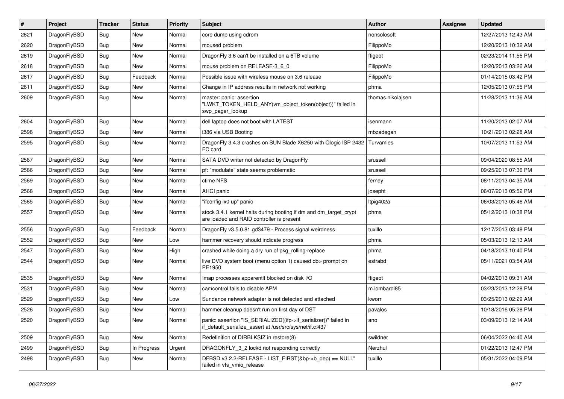| ∦    | Project      | <b>Tracker</b> | <b>Status</b> | <b>Priority</b> | <b>Subject</b>                                                                                                               | Author            | Assignee | <b>Updated</b>      |
|------|--------------|----------------|---------------|-----------------|------------------------------------------------------------------------------------------------------------------------------|-------------------|----------|---------------------|
| 2621 | DragonFlyBSD | Bug            | <b>New</b>    | Normal          | core dump using cdrom                                                                                                        | nonsolosoft       |          | 12/27/2013 12:43 AM |
| 2620 | DragonFlyBSD | <b>Bug</b>     | <b>New</b>    | Normal          | moused problem                                                                                                               | FilippoMo         |          | 12/20/2013 10:32 AM |
| 2619 | DragonFlyBSD | <b>Bug</b>     | <b>New</b>    | Normal          | DragonFly 3.6 can't be installed on a 6TB volume                                                                             | ftigeot           |          | 02/23/2014 11:55 PM |
| 2618 | DragonFlyBSD | Bug            | <b>New</b>    | Normal          | mouse problem on RELEASE-3_6_0                                                                                               | FilippoMo         |          | 12/20/2013 03:26 AM |
| 2617 | DragonFlyBSD | <b>Bug</b>     | Feedback      | Normal          | Possible issue with wireless mouse on 3.6 release                                                                            | FilippoMo         |          | 01/14/2015 03:42 PM |
| 2611 | DragonFlyBSD | <b>Bug</b>     | <b>New</b>    | Normal          | Change in IP address results in network not working                                                                          | phma              |          | 12/05/2013 07:55 PM |
| 2609 | DragonFlyBSD | Bug            | <b>New</b>    | Normal          | master: panic: assertion<br>"LWKT_TOKEN_HELD_ANY(vm_object_token(object))" failed in<br>swp pager lookup                     | thomas.nikolajsen |          | 11/28/2013 11:36 AM |
| 2604 | DragonFlyBSD | Bug            | <b>New</b>    | Normal          | dell laptop does not boot with LATEST                                                                                        | isenmann          |          | 11/20/2013 02:07 AM |
| 2598 | DragonFlyBSD | <b>Bug</b>     | <b>New</b>    | Normal          | i386 via USB Booting                                                                                                         | mbzadegan         |          | 10/21/2013 02:28 AM |
| 2595 | DragonFlyBSD | Bug            | <b>New</b>    | Normal          | Dragon Fly 3.4.3 crashes on SUN Blade X6250 with Qlogic ISP 2432<br>FC card                                                  | Turvamies         |          | 10/07/2013 11:53 AM |
| 2587 | DragonFlyBSD | <b>Bug</b>     | <b>New</b>    | Normal          | SATA DVD writer not detected by DragonFly                                                                                    | srussell          |          | 09/04/2020 08:55 AM |
| 2586 | DragonFlyBSD | Bug            | <b>New</b>    | Normal          | pf: "modulate" state seems problematic                                                                                       | srussell          |          | 09/25/2013 07:36 PM |
| 2569 | DragonFlyBSD | <b>Bug</b>     | <b>New</b>    | Normal          | ctime NFS                                                                                                                    | ferney            |          | 08/11/2013 04:35 AM |
| 2568 | DragonFlyBSD | <b>Bug</b>     | <b>New</b>    | Normal          | AHCI panic                                                                                                                   | josepht           |          | 06/07/2013 05:52 PM |
| 2565 | DragonFlyBSD | <b>Bug</b>     | <b>New</b>    | Normal          | "ifconfig ix0 up" panic                                                                                                      | ltpig402a         |          | 06/03/2013 05:46 AM |
| 2557 | DragonFlyBSD | Bug            | <b>New</b>    | Normal          | stock 3.4.1 kernel halts during booting if dm and dm_target_crypt<br>are loaded and RAID controller is present               | phma              |          | 05/12/2013 10:38 PM |
| 2556 | DragonFlyBSD | Bug            | Feedback      | Normal          | DragonFly v3.5.0.81.gd3479 - Process signal weirdness                                                                        | tuxillo           |          | 12/17/2013 03:48 PM |
| 2552 | DragonFlyBSD | <b>Bug</b>     | <b>New</b>    | Low             | hammer recovery should indicate progress                                                                                     | phma              |          | 05/03/2013 12:13 AM |
| 2547 | DragonFlyBSD | Bug            | <b>New</b>    | High            | crashed while doing a dry run of pkg_rolling-replace                                                                         | phma              |          | 04/18/2013 10:40 PM |
| 2544 | DragonFlyBSD | Bug            | <b>New</b>    | Normal          | live DVD system boot (menu option 1) caused db> prompt on<br>PE1950                                                          | estrabd           |          | 05/11/2021 03:54 AM |
| 2535 | DragonFlyBSD | Bug            | <b>New</b>    | Normal          | Imap processes apparentlt blocked on disk I/O                                                                                | ftigeot           |          | 04/02/2013 09:31 AM |
| 2531 | DragonFlyBSD | Bug            | <b>New</b>    | Normal          | camcontrol fails to disable APM                                                                                              | m.lombardi85      |          | 03/23/2013 12:28 PM |
| 2529 | DragonFlyBSD | Bug            | <b>New</b>    | Low             | Sundance network adapter is not detected and attached                                                                        | kworr             |          | 03/25/2013 02:29 AM |
| 2526 | DragonFlyBSD | <b>Bug</b>     | <b>New</b>    | Normal          | hammer cleanup doesn't run on first day of DST                                                                               | pavalos           |          | 10/18/2016 05:28 PM |
| 2520 | DragonFlyBSD | <b>Bug</b>     | New           | Normal          | panic: assertion "IS_SERIALIZED((ifp->if_serializer))" failed in<br>if default serialize assert at /usr/src/sys/net/if.c:437 | ano               |          | 03/09/2013 12:14 AM |
| 2509 | DragonFlyBSD | <b>Bug</b>     | New           | Normal          | Redefinition of DIRBLKSIZ in restore(8)                                                                                      | swildner          |          | 06/04/2022 04:40 AM |
| 2499 | DragonFlyBSD | <b>Bug</b>     | In Progress   | Urgent          | DRAGONFLY_3_2 lockd not responding correctly                                                                                 | Nerzhul           |          | 01/22/2013 12:47 PM |
| 2498 | DragonFlyBSD | <b>Bug</b>     | New           | Normal          | DFBSD v3.2.2-RELEASE - LIST_FIRST(&bp->b_dep) == NULL"<br>failed in vfs_vmio_release                                         | tuxillo           |          | 05/31/2022 04:09 PM |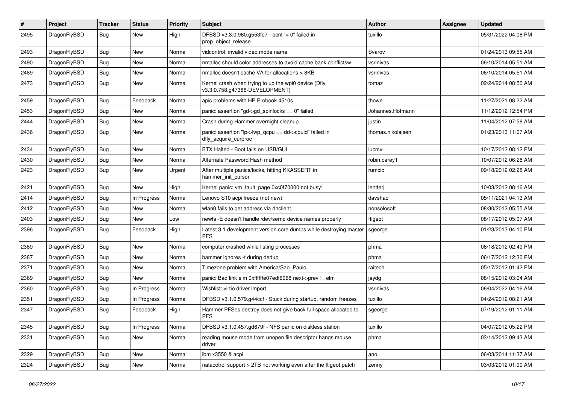| $\pmb{\#}$ | Project      | <b>Tracker</b> | <b>Status</b> | <b>Priority</b> | Subject                                                                                | Author            | Assignee | <b>Updated</b>      |
|------------|--------------|----------------|---------------|-----------------|----------------------------------------------------------------------------------------|-------------------|----------|---------------------|
| 2495       | DragonFlyBSD | Bug            | <b>New</b>    | High            | DFBSD v3.3.0.960.g553fe7 - ocnt != 0" failed in<br>prop_object_release                 | tuxillo           |          | 05/31/2022 04:08 PM |
| 2493       | DragonFlyBSD | <b>Bug</b>     | <b>New</b>    | Normal          | vidcontrol: invalid video mode name                                                    | Svarov            |          | 01/24/2013 09:55 AM |
| 2490       | DragonFlyBSD | Bug            | <b>New</b>    | Normal          | nmalloc should color addresses to avoid cache bank conflictsw                          | vsrinivas         |          | 06/10/2014 05:51 AM |
| 2489       | DragonFlyBSD | Bug            | <b>New</b>    | Normal          | nmalloc doesn't cache VA for allocations > 8KB                                         | vsrinivas         |          | 06/10/2014 05:51 AM |
| 2473       | DragonFlyBSD | Bug            | New           | Normal          | Kernel crash when trying to up the wpi0 device (Dfly<br>v3.3.0.758.g47388-DEVELOPMENT) | tomaz             |          | 02/24/2014 08:50 AM |
| 2459       | DragonFlyBSD | <b>Bug</b>     | Feedback      | Normal          | apic problems with HP Probook 4510s                                                    | thowe             |          | 11/27/2021 08:22 AM |
| 2453       | DragonFlyBSD | Bug            | <b>New</b>    | Normal          | panic: assertion "gd->gd_spinlocks == 0" failed                                        | Johannes.Hofmann  |          | 11/12/2012 12:54 PM |
| 2444       | DragonFlyBSD | <b>Bug</b>     | <b>New</b>    | Normal          | Crash during Hammer overnight cleanup                                                  | justin            |          | 11/04/2012 07:58 AM |
| 2436       | DragonFlyBSD | Bug            | <b>New</b>    | Normal          | panic: assertion "lp->lwp_qcpu == dd->cpuid" failed in<br>dfly_acquire_curproc         | thomas.nikolajsen |          | 01/23/2013 11:07 AM |
| 2434       | DragonFlyBSD | Bug            | <b>New</b>    | Normal          | BTX Halted - Boot fails on USB/GUI                                                     | lucmy             |          | 10/17/2012 08:12 PM |
| 2430       | DragonFlyBSD | <b>Bug</b>     | <b>New</b>    | Normal          | Alternate Password Hash method                                                         | robin.carey1      |          | 10/07/2012 06:28 AM |
| 2423       | DragonFlyBSD | Bug            | <b>New</b>    | Urgent          | After multiple panics/locks, hitting KKASSERT in<br>hammer_init_cursor                 | rumcic            |          | 09/18/2012 02:28 AM |
| 2421       | DragonFlyBSD | Bug            | <b>New</b>    | High            | Kernel panic: vm_fault: page 0xc0f70000 not busy!                                      | lentferj          |          | 10/03/2012 08:16 AM |
| 2414       | DragonFlyBSD | <b>Bug</b>     | In Progress   | Normal          | Lenovo S10 acpi freeze (not new)                                                       | davshao           |          | 05/11/2021 04:13 AM |
| 2412       | DragonFlyBSD | Bug            | <b>New</b>    | Normal          | wlan0 fails to get address via dhclient                                                | nonsolosoft       |          | 08/30/2012 05:55 AM |
| 2403       | DragonFlyBSD | Bug            | <b>New</b>    | Low             | newfs -E doesn't handle /dev/serno device names properly                               | ftigeot           |          | 08/17/2012 05:07 AM |
| 2396       | DragonFlyBSD | Bug            | Feedback      | High            | Latest 3.1 development version core dumps while destroying master<br><b>PFS</b>        | sgeorge           |          | 01/23/2013 04:10 PM |
| 2389       | DragonFlyBSD | Bug            | <b>New</b>    | Normal          | computer crashed while listing processes                                               | phma              |          | 06/18/2012 02:49 PM |
| 2387       | DragonFlyBSD | <b>Bug</b>     | <b>New</b>    | Normal          | hammer ignores -t during dedup                                                         | phma              |          | 06/17/2012 12:30 PM |
| 2371       | DragonFlyBSD | <b>Bug</b>     | <b>New</b>    | Normal          | Timezone problem with America/Sao_Paulo                                                | raitech           |          | 05/17/2012 01:42 PM |
| 2369       | DragonFlyBSD | Bug            | <b>New</b>    | Normal          | panic: Bad link elm 0xffffffe07edf6068 next->prev != elm                               | jaydg             |          | 08/15/2012 03:04 AM |
| 2360       | DragonFlyBSD | <b>Bug</b>     | In Progress   | Normal          | Wishlist: virtio driver import                                                         | vsrinivas         |          | 06/04/2022 04:16 AM |
| 2351       | DragonFlyBSD | Bug            | In Progress   | Normal          | DFBSD v3.1.0.579.g44ccf - Stuck during startup, random freezes                         | tuxillo           |          | 04/24/2012 08:21 AM |
| 2347       | DragonFlyBSD | Bug            | Feedback      | High            | Hammer PFSes destroy does not give back full space allocated to<br><b>PFS</b>          | sgeorge           |          | 07/19/2012 01:11 AM |
| 2345       | DragonFlyBSD | <b>Bug</b>     | In Progress   | Normal          | DFBSD v3.1.0.457.gd679f - NFS panic on diskless station                                | tuxillo           |          | 04/07/2012 05:22 PM |
| 2331       | DragonFlyBSD | <b>Bug</b>     | New           | Normal          | reading mouse mode from unopen file descriptor hangs mouse<br>driver                   | phma              |          | 03/14/2012 09:43 AM |
| 2329       | DragonFlyBSD | <b>Bug</b>     | New           | Normal          | ibm x3550 & acpi                                                                       | ano               |          | 06/03/2014 11:37 AM |
| 2324       | DragonFlyBSD | Bug            | New           | Normal          | natacotrol support > 2TB not working even after the ftigeot patch                      | zenny             |          | 03/03/2012 01:00 AM |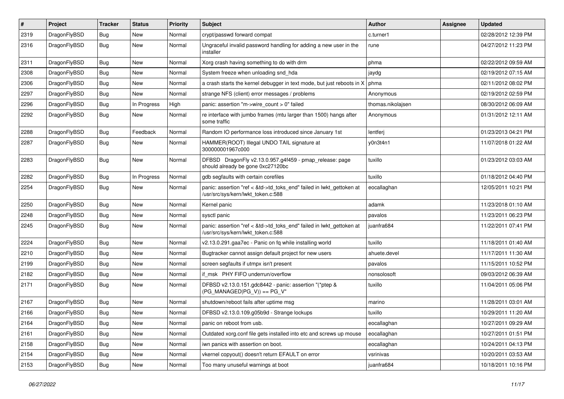| $\vert$ # | Project      | <b>Tracker</b> | <b>Status</b> | <b>Priority</b> | <b>Subject</b>                                                                                             | Author            | <b>Assignee</b> | <b>Updated</b>      |
|-----------|--------------|----------------|---------------|-----------------|------------------------------------------------------------------------------------------------------------|-------------------|-----------------|---------------------|
| 2319      | DragonFlyBSD | Bug            | New           | Normal          | crypt/passwd forward compat                                                                                | c.turner1         |                 | 02/28/2012 12:39 PM |
| 2316      | DragonFlyBSD | Bug            | New           | Normal          | Ungraceful invalid password handling for adding a new user in the<br>installer                             | rune              |                 | 04/27/2012 11:23 PM |
| 2311      | DragonFlyBSD | Bug            | <b>New</b>    | Normal          | Xorg crash having something to do with drm                                                                 | phma              |                 | 02/22/2012 09:59 AM |
| 2308      | DragonFlyBSD | <b>Bug</b>     | <b>New</b>    | Normal          | System freeze when unloading snd_hda                                                                       | jaydg             |                 | 02/19/2012 07:15 AM |
| 2306      | DragonFlyBSD | <b>Bug</b>     | New           | Normal          | a crash starts the kernel debugger in text mode, but just reboots in X                                     | phma              |                 | 02/11/2012 08:02 PM |
| 2297      | DragonFlyBSD | Bug            | <b>New</b>    | Normal          | strange NFS (client) error messages / problems                                                             | Anonymous         |                 | 02/19/2012 02:59 PM |
| 2296      | DragonFlyBSD | <b>Bug</b>     | In Progress   | High            | panic: assertion "m->wire count > 0" failed                                                                | thomas.nikolajsen |                 | 08/30/2012 06:09 AM |
| 2292      | DragonFlyBSD | Bug            | New           | Normal          | re interface with jumbo frames (mtu larger than 1500) hangs after<br>some traffic                          | Anonymous         |                 | 01/31/2012 12:11 AM |
| 2288      | DragonFlyBSD | Bug            | Feedback      | Normal          | Random IO performance loss introduced since January 1st                                                    | lentferj          |                 | 01/23/2013 04:21 PM |
| 2287      | DragonFlyBSD | <b>Bug</b>     | New           | Normal          | HAMMER(ROOT) Illegal UNDO TAIL signature at<br>300000001967c000                                            | y0n3t4n1          |                 | 11/07/2018 01:22 AM |
| 2283      | DragonFlyBSD | <b>Bug</b>     | New           | Normal          | DFBSD DragonFly v2.13.0.957.g4f459 - pmap_release: page<br>should already be gone 0xc27120bc               | tuxillo           |                 | 01/23/2012 03:03 AM |
| 2282      | DragonFlyBSD | Bug            | In Progress   | Normal          | gdb segfaults with certain corefiles                                                                       | tuxillo           |                 | 01/18/2012 04:40 PM |
| 2254      | DragonFlyBSD | Bug            | New           | Normal          | panic: assertion "ref < &td->td_toks_end" failed in lwkt_gettoken at<br>/usr/src/sys/kern/lwkt_token.c:588 | eocallaghan       |                 | 12/05/2011 10:21 PM |
| 2250      | DragonFlyBSD | Bug            | New           | Normal          | Kernel panic                                                                                               | adamk             |                 | 11/23/2018 01:10 AM |
| 2248      | DragonFlyBSD | Bug            | <b>New</b>    | Normal          | sysctl panic                                                                                               | pavalos           |                 | 11/23/2011 06:23 PM |
| 2245      | DragonFlyBSD | Bug            | New           | Normal          | panic: assertion "ref < &td->td_toks_end" failed in lwkt_gettoken at<br>/usr/src/sys/kern/lwkt token.c:588 | juanfra684        |                 | 11/22/2011 07:41 PM |
| 2224      | DragonFlyBSD | Bug            | <b>New</b>    | Normal          | v2.13.0.291.gaa7ec - Panic on fq while installing world                                                    | tuxillo           |                 | 11/18/2011 01:40 AM |
| 2210      | DragonFlyBSD | Bug            | New           | Normal          | Bugtracker cannot assign default project for new users                                                     | ahuete.devel      |                 | 11/17/2011 11:30 AM |
| 2199      | DragonFlyBSD | Bug            | <b>New</b>    | Normal          | screen segfaults if utmpx isn't present                                                                    | pavalos           |                 | 11/15/2011 10:52 PM |
| 2182      | DragonFlyBSD | <b>Bug</b>     | <b>New</b>    | Normal          | if msk PHY FIFO underrun/overflow                                                                          | nonsolosoft       |                 | 09/03/2012 06:39 AM |
| 2171      | DragonFlyBSD | <b>Bug</b>     | New           | Normal          | DFBSD v2.13.0.151.gdc8442 - panic: assertion "(*ptep &<br>$(PG_MANAGED PG_V)) == PG_V"$                    | tuxillo           |                 | 11/04/2011 05:06 PM |
| 2167      | DragonFlyBSD | Bug            | <b>New</b>    | Normal          | shutdown/reboot fails after uptime msg                                                                     | marino            |                 | 11/28/2011 03:01 AM |
| 2166      | DragonFlyBSD | <b>Bug</b>     | New           | Normal          | DFBSD v2.13.0.109.g05b9d - Strange lockups                                                                 | tuxillo           |                 | 10/29/2011 11:20 AM |
| 2164      | DragonFlyBSD | <b>Bug</b>     | New           | Normal          | panic on reboot from usb.                                                                                  | eocallaghan       |                 | 10/27/2011 09:29 AM |
| 2161      | DragonFlyBSD | <b>Bug</b>     | New           | Normal          | Outdated xorg.conf file gets installed into etc and screws up mouse                                        | eocallaghan       |                 | 10/27/2011 01:51 PM |
| 2158      | DragonFlyBSD | <b>Bug</b>     | New           | Normal          | iwn panics with assertion on boot.                                                                         | eocallaghan       |                 | 10/24/2011 04:13 PM |
| 2154      | DragonFlyBSD | <b>Bug</b>     | New           | Normal          | vkernel copyout() doesn't return EFAULT on error                                                           | vsrinivas         |                 | 10/20/2011 03:53 AM |
| 2153      | DragonFlyBSD | <b>Bug</b>     | New           | Normal          | Too many unuseful warnings at boot                                                                         | juanfra684        |                 | 10/18/2011 10:16 PM |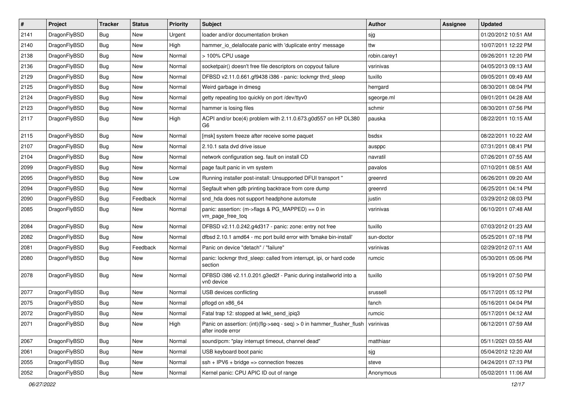| $\sharp$ | Project      | <b>Tracker</b> | <b>Status</b> | <b>Priority</b> | Subject                                                                                    | Author       | Assignee | <b>Updated</b>      |
|----------|--------------|----------------|---------------|-----------------|--------------------------------------------------------------------------------------------|--------------|----------|---------------------|
| 2141     | DragonFlyBSD | <b>Bug</b>     | New           | Urgent          | loader and/or documentation broken                                                         | sjg          |          | 01/20/2012 10:51 AM |
| 2140     | DragonFlyBSD | <b>Bug</b>     | New           | High            | hammer_io_delallocate panic with 'duplicate entry' message                                 | ttw          |          | 10/07/2011 12:22 PM |
| 2138     | DragonFlyBSD | <b>Bug</b>     | New           | Normal          | > 100% CPU usage                                                                           | robin.carey1 |          | 09/26/2011 12:20 PM |
| 2136     | DragonFlyBSD | <b>Bug</b>     | <b>New</b>    | Normal          | socketpair() doesn't free file descriptors on copyout failure                              | vsrinivas    |          | 04/05/2013 09:13 AM |
| 2129     | DragonFlyBSD | <b>Bug</b>     | <b>New</b>    | Normal          | DFBSD v2.11.0.661.gf9438 i386 - panic: lockmgr thrd_sleep                                  | tuxillo      |          | 09/05/2011 09:49 AM |
| 2125     | DragonFlyBSD | <b>Bug</b>     | <b>New</b>    | Normal          | Weird garbage in dmesg                                                                     | herrgard     |          | 08/30/2011 08:04 PM |
| 2124     | DragonFlyBSD | <b>Bug</b>     | New           | Normal          | getty repeating too quickly on port /dev/ttyv0                                             | sgeorge.ml   |          | 09/01/2011 04:28 AM |
| 2123     | DragonFlyBSD | <b>Bug</b>     | <b>New</b>    | Normal          | hammer is losing files                                                                     | schmir       |          | 08/30/2011 07:56 PM |
| 2117     | DragonFlyBSD | <b>Bug</b>     | New           | High            | ACPI and/or bce(4) problem with 2.11.0.673.g0d557 on HP DL380<br>G <sub>6</sub>            | pauska       |          | 08/22/2011 10:15 AM |
| 2115     | DragonFlyBSD | Bug            | <b>New</b>    | Normal          | [msk] system freeze after receive some paquet                                              | bsdsx        |          | 08/22/2011 10:22 AM |
| 2107     | DragonFlyBSD | <b>Bug</b>     | New           | Normal          | 2.10.1 sata dvd drive issue                                                                | ausppc       |          | 07/31/2011 08:41 PM |
| 2104     | DragonFlyBSD | <b>Bug</b>     | New           | Normal          | network configuration seg. fault on install CD                                             | navratil     |          | 07/26/2011 07:55 AM |
| 2099     | DragonFlyBSD | <b>Bug</b>     | <b>New</b>    | Normal          | page fault panic in vm system                                                              | pavalos      |          | 07/10/2011 08:51 AM |
| 2095     | DragonFlyBSD | <b>Bug</b>     | New           | Low             | Running installer post-install: Unsupported DFUI transport "                               | greenrd      |          | 06/26/2011 09:20 AM |
| 2094     | DragonFlyBSD | <b>Bug</b>     | <b>New</b>    | Normal          | Segfault when gdb printing backtrace from core dump                                        | greenrd      |          | 06/25/2011 04:14 PM |
| 2090     | DragonFlyBSD | <b>Bug</b>     | Feedback      | Normal          | snd_hda does not support headphone automute                                                | justin       |          | 03/29/2012 08:03 PM |
| 2085     | DragonFlyBSD | Bug            | New           | Normal          | panic: assertion: (m->flags & PG_MAPPED) == 0 in<br>vm_page_free_toq                       | vsrinivas    |          | 06/10/2011 07:48 AM |
| 2084     | DragonFlyBSD | Bug            | New           | Normal          | DFBSD v2.11.0.242.g4d317 - panic: zone: entry not free                                     | tuxillo      |          | 07/03/2012 01:23 AM |
| 2082     | DragonFlyBSD | <b>Bug</b>     | New           | Normal          | dfbsd 2.10.1 amd64 - mc port build error with 'bmake bin-install'                          | sun-doctor   |          | 05/25/2011 07:18 PM |
| 2081     | DragonFlyBSD | <b>Bug</b>     | Feedback      | Normal          | Panic on device "detach" / "failure"                                                       | vsrinivas    |          | 02/29/2012 07:11 AM |
| 2080     | DragonFlyBSD | Bug            | New           | Normal          | panic: lockmgr thrd_sleep: called from interrupt, ipi, or hard code<br>section             | rumcic       |          | 05/30/2011 05:06 PM |
| 2078     | DragonFlyBSD | Bug            | New           | Normal          | DFBSD i386 v2.11.0.201.g3ed2f - Panic during installworld into a<br>vn0 device             | tuxillo      |          | 05/19/2011 07:50 PM |
| 2077     | DragonFlyBSD | Bug            | New           | Normal          | USB devices conflicting                                                                    | srussell     |          | 05/17/2011 05:12 PM |
| 2075     | DragonFlyBSD | <b>Bug</b>     | <b>New</b>    | Normal          | pflogd on x86 64                                                                           | fanch        |          | 05/16/2011 04:04 PM |
| 2072     | DragonFlyBSD | <b>Bug</b>     | New           | Normal          | Fatal trap 12: stopped at lwkt send ipig3                                                  | rumcic       |          | 05/17/2011 04:12 AM |
| 2071     | DragonFlyBSD | <b>Bug</b>     | New           | High            | Panic on assertion: (int)(flg->seq - seq) > 0 in hammer_flusher_flush<br>after inode error | vsrinivas    |          | 06/12/2011 07:59 AM |
| 2067     | DragonFlyBSD | <b>Bug</b>     | New           | Normal          | sound/pcm: "play interrupt timeout, channel dead"                                          | matthiasr    |          | 05/11/2021 03:55 AM |
| 2061     | DragonFlyBSD | <b>Bug</b>     | New           | Normal          | USB keyboard boot panic                                                                    | sjg          |          | 05/04/2012 12:20 AM |
| 2055     | DragonFlyBSD | <b>Bug</b>     | <b>New</b>    | Normal          | $ssh + IPV6 + bridge \Rightarrow connection freezes$                                       | steve        |          | 04/24/2011 07:13 PM |
| 2052     | DragonFlyBSD | <b>Bug</b>     | New           | Normal          | Kernel panic: CPU APIC ID out of range                                                     | Anonymous    |          | 05/02/2011 11:06 AM |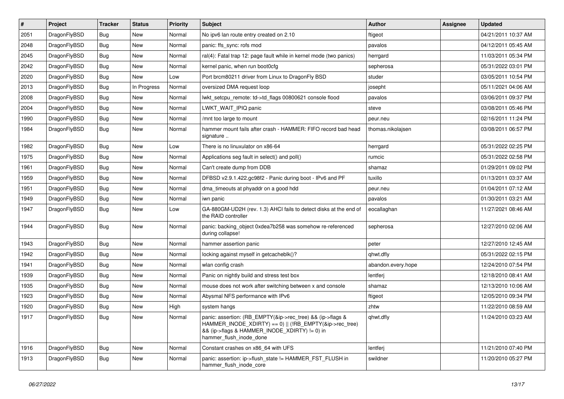| $\vert$ # | Project      | <b>Tracker</b> | <b>Status</b> | <b>Priority</b> | <b>Subject</b>                                                                                                                                                                                    | <b>Author</b>      | Assignee | <b>Updated</b>      |
|-----------|--------------|----------------|---------------|-----------------|---------------------------------------------------------------------------------------------------------------------------------------------------------------------------------------------------|--------------------|----------|---------------------|
| 2051      | DragonFlyBSD | Bug            | <b>New</b>    | Normal          | No ipv6 lan route entry created on 2.10                                                                                                                                                           | ftigeot            |          | 04/21/2011 10:37 AM |
| 2048      | DragonFlyBSD | <b>Bug</b>     | <b>New</b>    | Normal          | panic: ffs_sync: rofs mod                                                                                                                                                                         | pavalos            |          | 04/12/2011 05:45 AM |
| 2045      | DragonFlyBSD | Bug            | New           | Normal          | ral(4): Fatal trap 12: page fault while in kernel mode (two panics)                                                                                                                               | herrgard           |          | 11/03/2011 05:34 PM |
| 2042      | DragonFlyBSD | Bug            | New           | Normal          | kernel panic, when run boot0cfg                                                                                                                                                                   | sepherosa          |          | 05/31/2022 03:01 PM |
| 2020      | DragonFlyBSD | <b>Bug</b>     | New           | Low             | Port brcm80211 driver from Linux to DragonFly BSD                                                                                                                                                 | studer             |          | 03/05/2011 10:54 PM |
| 2013      | DragonFlyBSD | Bug            | In Progress   | Normal          | oversized DMA request loop                                                                                                                                                                        | josepht            |          | 05/11/2021 04:06 AM |
| 2008      | DragonFlyBSD | <b>Bug</b>     | New           | Normal          | lwkt_setcpu_remote: td->td_flags 00800621 console flood                                                                                                                                           | pavalos            |          | 03/06/2011 09:37 PM |
| 2004      | DragonFlyBSD | Bug            | New           | Normal          | LWKT WAIT IPIQ panic                                                                                                                                                                              | steve              |          | 03/08/2011 05:46 PM |
| 1990      | DragonFlyBSD | <b>Bug</b>     | <b>New</b>    | Normal          | /mnt too large to mount                                                                                                                                                                           | peur.neu           |          | 02/16/2011 11:24 PM |
| 1984      | DragonFlyBSD | <b>Bug</b>     | New           | Normal          | hammer mount fails after crash - HAMMER: FIFO record bad head<br>signature                                                                                                                        | thomas.nikolajsen  |          | 03/08/2011 06:57 PM |
| 1982      | DragonFlyBSD | Bug            | <b>New</b>    | Low             | There is no linuxulator on x86-64                                                                                                                                                                 | herrgard           |          | 05/31/2022 02:25 PM |
| 1975      | DragonFlyBSD | <b>Bug</b>     | <b>New</b>    | Normal          | Applications seg fault in select() and poll()                                                                                                                                                     | rumcic             |          | 05/31/2022 02:58 PM |
| 1961      | DragonFlyBSD | <b>Bug</b>     | <b>New</b>    | Normal          | Can't create dump from DDB                                                                                                                                                                        | shamaz             |          | 01/29/2011 09:02 PM |
| 1959      | DragonFlyBSD | <b>Bug</b>     | <b>New</b>    | Normal          | DFBSD v2.9.1.422.gc98f2 - Panic during boot - IPv6 and PF                                                                                                                                         | tuxillo            |          | 01/13/2011 03:37 AM |
| 1951      | DragonFlyBSD | <b>Bug</b>     | New           | Normal          | dma timeouts at phyaddr on a good hdd                                                                                                                                                             | peur.neu           |          | 01/04/2011 07:12 AM |
| 1949      | DragonFlyBSD | <b>Bug</b>     | New           | Normal          | iwn panic                                                                                                                                                                                         | pavalos            |          | 01/30/2011 03:21 AM |
| 1947      | DragonFlyBSD | <b>Bug</b>     | New           | Low             | GA-880GM-UD2H (rev. 1.3) AHCI fails to detect disks at the end of<br>the RAID controller                                                                                                          | eocallaghan        |          | 11/27/2021 08:46 AM |
| 1944      | DragonFlyBSD | <b>Bug</b>     | New           | Normal          | panic: backing_object 0xdea7b258 was somehow re-referenced<br>during collapse!                                                                                                                    | sepherosa          |          | 12/27/2010 02:06 AM |
| 1943      | DragonFlyBSD | <b>Bug</b>     | <b>New</b>    | Normal          | hammer assertion panic                                                                                                                                                                            | peter              |          | 12/27/2010 12:45 AM |
| 1942      | DragonFlyBSD | Bug            | <b>New</b>    | Normal          | locking against myself in getcacheblk()?                                                                                                                                                          | qhwt.dfly          |          | 05/31/2022 02:15 PM |
| 1941      | DragonFlyBSD | <b>Bug</b>     | <b>New</b>    | Normal          | wlan config crash                                                                                                                                                                                 | abandon.every.hope |          | 12/24/2010 07:54 PM |
| 1939      | DragonFlyBSD | <b>Bug</b>     | <b>New</b>    | Normal          | Panic on nightly build and stress test box                                                                                                                                                        | lentferi           |          | 12/18/2010 08:41 AM |
| 1935      | DragonFlyBSD | Bug            | New           | Normal          | mouse does not work after switching between x and console                                                                                                                                         | shamaz             |          | 12/13/2010 10:06 AM |
| 1923      | DragonFlyBSD | Bug            | New           | Normal          | Abysmal NFS performance with IPv6                                                                                                                                                                 | ftigeot            |          | 12/05/2010 09:34 PM |
| 1920      | DragonFlyBSD | <b>Bug</b>     | New           | High            | system hangs                                                                                                                                                                                      | zhtw               |          | 11/22/2010 08:59 AM |
| 1917      | DragonFlyBSD | Bug            | New           | Normal          | panic: assertion: (RB EMPTY(&ip->rec_tree) && (ip->flags &<br>HAMMER_INODE_XDIRTY) == 0)    (!RB_EMPTY(&ip->rec_tree)<br>&& (ip->flags & HAMMER_INODE_XDIRTY) != 0) in<br>hammer flush inode done | qhwt.dfly          |          | 11/24/2010 03:23 AM |
| 1916      | DragonFlyBSD | <b>Bug</b>     | New           | Normal          | Constant crashes on x86 64 with UFS                                                                                                                                                               | lentferj           |          | 11/21/2010 07:40 PM |
| 1913      | DragonFlyBSD | Bug            | <b>New</b>    | Normal          | panic: assertion: ip->flush_state != HAMMER_FST_FLUSH in<br>hammer flush inode core                                                                                                               | swildner           |          | 11/20/2010 05:27 PM |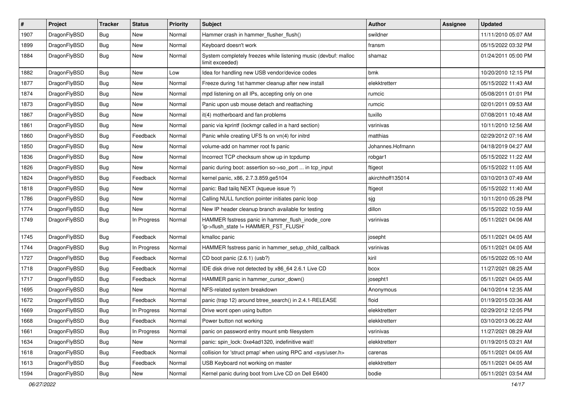| $\sharp$ | Project      | <b>Tracker</b> | <b>Status</b> | <b>Priority</b> | Subject                                                                                   | Author           | Assignee | <b>Updated</b>      |
|----------|--------------|----------------|---------------|-----------------|-------------------------------------------------------------------------------------------|------------------|----------|---------------------|
| 1907     | DragonFlyBSD | <b>Bug</b>     | New           | Normal          | Hammer crash in hammer_flusher_flush()                                                    | swildner         |          | 11/11/2010 05:07 AM |
| 1899     | DragonFlyBSD | Bug            | New           | Normal          | Keyboard doesn't work                                                                     | fransm           |          | 05/15/2022 03:32 PM |
| 1884     | DragonFlyBSD | <b>Bug</b>     | New           | Normal          | System completely freezes while listening music (devbuf: malloc<br>limit exceeded)        | shamaz           |          | 01/24/2011 05:00 PM |
| 1882     | DragonFlyBSD | Bug            | <b>New</b>    | Low             | Idea for handling new USB vendor/device codes                                             | bmk              |          | 10/20/2010 12:15 PM |
| 1877     | DragonFlyBSD | <b>Bug</b>     | New           | Normal          | Freeze during 1st hammer cleanup after new install                                        | elekktretterr    |          | 05/15/2022 11:43 AM |
| 1874     | DragonFlyBSD | Bug            | New           | Normal          | mpd listening on all IPs, accepting only on one                                           | rumcic           |          | 05/08/2011 01:01 PM |
| 1873     | DragonFlyBSD | <b>Bug</b>     | New           | Normal          | Panic upon usb mouse detach and reattaching                                               | rumcic           |          | 02/01/2011 09:53 AM |
| 1867     | DragonFlyBSD | <b>Bug</b>     | New           | Normal          | it(4) motherboard and fan problems                                                        | tuxillo          |          | 07/08/2011 10:48 AM |
| 1861     | DragonFlyBSD | Bug            | <b>New</b>    | Normal          | panic via kprintf (lockmgr called in a hard section)                                      | vsrinivas        |          | 10/11/2010 12:56 AM |
| 1860     | DragonFlyBSD | <b>Bug</b>     | Feedback      | Normal          | Panic while creating UFS fs on vn(4) for initrd                                           | matthias         |          | 02/29/2012 07:16 AM |
| 1850     | DragonFlyBSD | <b>Bug</b>     | New           | Normal          | volume-add on hammer root fs panic                                                        | Johannes.Hofmann |          | 04/18/2019 04:27 AM |
| 1836     | DragonFlyBSD | <b>Bug</b>     | New           | Normal          | Incorrect TCP checksum show up in tcpdump                                                 | robgar1          |          | 05/15/2022 11:22 AM |
| 1826     | DragonFlyBSD | <b>Bug</b>     | New           | Normal          | panic during boot: assertion so->so port  in tcp input                                    | ftigeot          |          | 05/15/2022 11:05 AM |
| 1824     | DragonFlyBSD | Bug            | Feedback      | Normal          | kernel panic, x86, 2.7.3.859.ge5104                                                       | akirchhoff135014 |          | 03/10/2013 07:49 AM |
| 1818     | DragonFlyBSD | <b>Bug</b>     | New           | Normal          | panic: Bad tailq NEXT (kqueue issue ?)                                                    | ftigeot          |          | 05/15/2022 11:40 AM |
| 1786     | DragonFlyBSD | Bug            | New           | Normal          | Calling NULL function pointer initiates panic loop                                        | sjg              |          | 10/11/2010 05:28 PM |
| 1774     | DragonFlyBSD | <b>Bug</b>     | New           | Normal          | New IP header cleanup branch available for testing                                        | dillon           |          | 05/15/2022 10:59 AM |
| 1749     | DragonFlyBSD | <b>Bug</b>     | In Progress   | Normal          | HAMMER fsstress panic in hammer_flush_inode_core<br>'ip->flush_state != HAMMER_FST_FLUSH' | vsrinivas        |          | 05/11/2021 04:06 AM |
| 1745     | DragonFlyBSD | Bug            | Feedback      | Normal          | kmalloc panic                                                                             | josepht          |          | 05/11/2021 04:05 AM |
| 1744     | DragonFlyBSD | <b>Bug</b>     | In Progress   | Normal          | HAMMER fsstress panic in hammer_setup_child_callback                                      | vsrinivas        |          | 05/11/2021 04:05 AM |
| 1727     | DragonFlyBSD | Bug            | Feedback      | Normal          | CD boot panic (2.6.1) (usb?)                                                              | kiril            |          | 05/15/2022 05:10 AM |
| 1718     | DragonFlyBSD | <b>Bug</b>     | Feedback      | Normal          | IDE disk drive not detected by x86_64 2.6.1 Live CD                                       | bcox             |          | 11/27/2021 08:25 AM |
| 1717     | DragonFlyBSD | <b>Bug</b>     | Feedback      | Normal          | HAMMER panic in hammer cursor down()                                                      | josepht1         |          | 05/11/2021 04:05 AM |
| 1695     | DragonFlyBSD | <b>Bug</b>     | <b>New</b>    | Normal          | NFS-related system breakdown                                                              | Anonymous        |          | 04/10/2014 12:35 AM |
| 1672     | DragonFlyBSD | <b>Bug</b>     | Feedback      | Normal          | panic (trap 12) around btree_search() in 2.4.1-RELEASE                                    | floid            |          | 01/19/2015 03:36 AM |
| 1669     | DragonFlyBSD | Bug            | In Progress   | Normal          | Drive wont open using button                                                              | elekktretterr    |          | 02/29/2012 12:05 PM |
| 1668     | DragonFlyBSD | <b>Bug</b>     | Feedback      | Normal          | Power button not working                                                                  | elekktretterr    |          | 03/10/2013 06:22 AM |
| 1661     | DragonFlyBSD | <b>Bug</b>     | In Progress   | Normal          | panic on password entry mount smb filesystem                                              | vsrinivas        |          | 11/27/2021 08:29 AM |
| 1634     | DragonFlyBSD | <b>Bug</b>     | New           | Normal          | panic: spin_lock: 0xe4ad1320, indefinitive wait!                                          | elekktretterr    |          | 01/19/2015 03:21 AM |
| 1618     | DragonFlyBSD | <b>Bug</b>     | Feedback      | Normal          | collision for 'struct pmap' when using RPC and <sys user.h=""></sys>                      | carenas          |          | 05/11/2021 04:05 AM |
| 1613     | DragonFlyBSD | <b>Bug</b>     | Feedback      | Normal          | USB Keyboard not working on master                                                        | elekktretterr    |          | 05/11/2021 04:05 AM |
| 1594     | DragonFlyBSD | <b>Bug</b>     | New           | Normal          | Kernel panic during boot from Live CD on Dell E6400                                       | bodie            |          | 05/11/2021 03:54 AM |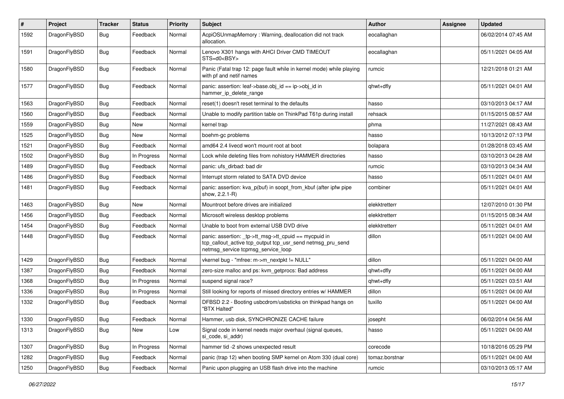| $\#$ | Project      | <b>Tracker</b> | <b>Status</b> | <b>Priority</b> | <b>Subject</b>                                                                                                                                            | <b>Author</b>  | Assignee | <b>Updated</b>      |
|------|--------------|----------------|---------------|-----------------|-----------------------------------------------------------------------------------------------------------------------------------------------------------|----------------|----------|---------------------|
| 1592 | DragonFlyBSD | Bug            | Feedback      | Normal          | AcpiOSUnmapMemory: Warning, deallocation did not track<br>allocation.                                                                                     | eocallaghan    |          | 06/02/2014 07:45 AM |
| 1591 | DragonFlyBSD | <b>Bug</b>     | Feedback      | Normal          | Lenovo X301 hangs with AHCI Driver CMD TIMEOUT<br>STS=d0 <bsy></bsy>                                                                                      | eocallaghan    |          | 05/11/2021 04:05 AM |
| 1580 | DragonFlyBSD | <b>Bug</b>     | Feedback      | Normal          | Panic (Fatal trap 12: page fault while in kernel mode) while playing<br>with pf and netif names                                                           | rumcic         |          | 12/21/2018 01:21 AM |
| 1577 | DragonFlyBSD | <b>Bug</b>     | Feedback      | Normal          | panic: assertion: leaf->base.obj_id == ip->obj_id in<br>hammer ip delete range                                                                            | qhwt+dfly      |          | 05/11/2021 04:01 AM |
| 1563 | DragonFlyBSD | <b>Bug</b>     | Feedback      | Normal          | reset(1) doesn't reset terminal to the defaults                                                                                                           | hasso          |          | 03/10/2013 04:17 AM |
| 1560 | DragonFlyBSD | <b>Bug</b>     | Feedback      | Normal          | Unable to modify partition table on ThinkPad T61p during install                                                                                          | rehsack        |          | 01/15/2015 08:57 AM |
| 1559 | DragonFlyBSD | <b>Bug</b>     | New           | Normal          | kernel trap                                                                                                                                               | phma           |          | 11/27/2021 08:43 AM |
| 1525 | DragonFlyBSD | <b>Bug</b>     | New           | Normal          | boehm-gc problems                                                                                                                                         | hasso          |          | 10/13/2012 07:13 PM |
| 1521 | DragonFlyBSD | <b>Bug</b>     | Feedback      | Normal          | amd64 2.4 livecd won't mount root at boot                                                                                                                 | bolapara       |          | 01/28/2018 03:45 AM |
| 1502 | DragonFlyBSD | <b>Bug</b>     | In Progress   | Normal          | Lock while deleting files from nohistory HAMMER directories                                                                                               | hasso          |          | 03/10/2013 04:28 AM |
| 1489 | DragonFlyBSD | <b>Bug</b>     | Feedback      | Normal          | panic: ufs_dirbad: bad dir                                                                                                                                | rumcic         |          | 03/10/2013 04:34 AM |
| 1486 | DragonFlyBSD | Bug            | Feedback      | Normal          | Interrupt storm related to SATA DVD device                                                                                                                | hasso          |          | 05/11/2021 04:01 AM |
| 1481 | DragonFlyBSD | Bug            | Feedback      | Normal          | panic: assertion: kva_p(buf) in soopt_from_kbuf (after ipfw pipe<br>show, 2.2.1-R)                                                                        | combiner       |          | 05/11/2021 04:01 AM |
| 1463 | DragonFlyBSD | <b>Bug</b>     | New           | Normal          | Mountroot before drives are initialized                                                                                                                   | elekktretterr  |          | 12/07/2010 01:30 PM |
| 1456 | DragonFlyBSD | <b>Bug</b>     | Feedback      | Normal          | Microsoft wireless desktop problems                                                                                                                       | elekktretterr  |          | 01/15/2015 08:34 AM |
| 1454 | DragonFlyBSD | <b>Bug</b>     | Feedback      | Normal          | Unable to boot from external USB DVD drive                                                                                                                | elekktretterr  |          | 05/11/2021 04:01 AM |
| 1448 | DragonFlyBSD | <b>Bug</b>     | Feedback      | Normal          | panic: assertion: _tp->tt_msg->tt_cpuid == mycpuid in<br>tcp_callout_active tcp_output tcp_usr_send netmsg_pru_send<br>netmsg_service tcpmsg_service_loop | dillon         |          | 05/11/2021 04:00 AM |
| 1429 | DragonFlyBSD | Bug            | Feedback      | Normal          | vkernel bug - "mfree: m->m_nextpkt != NULL"                                                                                                               | dillon         |          | 05/11/2021 04:00 AM |
| 1387 | DragonFlyBSD | Bug            | Feedback      | Normal          | zero-size malloc and ps: kvm_getprocs: Bad address                                                                                                        | qhwt+dfly      |          | 05/11/2021 04:00 AM |
| 1368 | DragonFlyBSD | <b>Bug</b>     | In Progress   | Normal          | suspend signal race?                                                                                                                                      | qhwt+dfly      |          | 05/11/2021 03:51 AM |
| 1336 | DragonFlyBSD | <b>Bug</b>     | In Progress   | Normal          | Still looking for reports of missed directory entries w/ HAMMER                                                                                           | dillon         |          | 05/11/2021 04:00 AM |
| 1332 | DragonFlyBSD | Bug            | Feedback      | Normal          | DFBSD 2.2 - Booting usbcdrom/usbsticks on thinkpad hangs on<br>"BTX Halted"                                                                               | tuxillo        |          | 05/11/2021 04:00 AM |
| 1330 | DragonFlyBSD | Bug            | Feedback      | Normal          | Hammer, usb disk, SYNCHRONIZE CACHE failure                                                                                                               | josepht        |          | 06/02/2014 04:56 AM |
| 1313 | DragonFlyBSD | Bug            | New           | Low             | Signal code in kernel needs major overhaul (signal queues,<br>si_code, si_addr)                                                                           | hasso          |          | 05/11/2021 04:00 AM |
| 1307 | DragonFlyBSD | <b>Bug</b>     | In Progress   | Normal          | hammer tid -2 shows unexpected result                                                                                                                     | corecode       |          | 10/18/2016 05:29 PM |
| 1282 | DragonFlyBSD | <b>Bug</b>     | Feedback      | Normal          | panic (trap 12) when booting SMP kernel on Atom 330 (dual core)                                                                                           | tomaz.borstnar |          | 05/11/2021 04:00 AM |
| 1250 | DragonFlyBSD | <b>Bug</b>     | Feedback      | Normal          | Panic upon plugging an USB flash drive into the machine                                                                                                   | rumcic         |          | 03/10/2013 05:17 AM |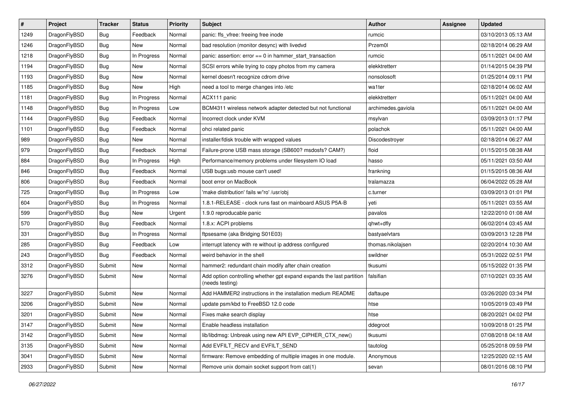| $\vert$ # | Project      | <b>Tracker</b> | <b>Status</b> | <b>Priority</b> | Subject                                                                                 | <b>Author</b>      | Assignee | <b>Updated</b>      |
|-----------|--------------|----------------|---------------|-----------------|-----------------------------------------------------------------------------------------|--------------------|----------|---------------------|
| 1249      | DragonFlyBSD | Bug            | Feedback      | Normal          | panic: ffs_vfree: freeing free inode                                                    | rumcic             |          | 03/10/2013 05:13 AM |
| 1246      | DragonFlyBSD | <b>Bug</b>     | <b>New</b>    | Normal          | bad resolution (monitor desync) with livedvd                                            | Przem0l            |          | 02/18/2014 06:29 AM |
| 1218      | DragonFlyBSD | <b>Bug</b>     | In Progress   | Normal          | panic: assertion: $error == 0$ in hammer start transaction                              | rumcic             |          | 05/11/2021 04:00 AM |
| 1194      | DragonFlyBSD | Bug            | <b>New</b>    | Normal          | SCSI errors while trying to copy photos from my camera                                  | elekktretterr      |          | 01/14/2015 04:39 PM |
| 1193      | DragonFlyBSD | Bug            | <b>New</b>    | Normal          | kernel doesn't recognize cdrom drive                                                    | nonsolosoft        |          | 01/25/2014 09:11 PM |
| 1185      | DragonFlyBSD | <b>Bug</b>     | New           | High            | need a tool to merge changes into /etc                                                  | wa1ter             |          | 02/18/2014 06:02 AM |
| 1181      | DragonFlyBSD | <b>Bug</b>     | In Progress   | Normal          | ACX111 panic                                                                            | elekktretterr      |          | 05/11/2021 04:00 AM |
| 1148      | DragonFlyBSD | <b>Bug</b>     | In Progress   | Low             | BCM4311 wireless network adapter detected but not functional                            | archimedes.gaviola |          | 05/11/2021 04:00 AM |
| 1144      | DragonFlyBSD | <b>Bug</b>     | Feedback      | Normal          | Incorrect clock under KVM                                                               | msylvan            |          | 03/09/2013 01:17 PM |
| 1101      | DragonFlyBSD | <b>Bug</b>     | Feedback      | Normal          | ohci related panic                                                                      | polachok           |          | 05/11/2021 04:00 AM |
| 989       | DragonFlyBSD | <b>Bug</b>     | New           | Normal          | installer/fdisk trouble with wrapped values                                             | Discodestroyer     |          | 02/18/2014 06:27 AM |
| 979       | DragonFlyBSD | Bug            | Feedback      | Normal          | Failure-prone USB mass storage (SB600? msdosfs? CAM?)                                   | floid              |          | 01/15/2015 08:38 AM |
| 884       | DragonFlyBSD | Bug            | In Progress   | High            | Performance/memory problems under filesystem IO load                                    | hasso              |          | 05/11/2021 03:50 AM |
| 846       | DragonFlyBSD | <b>Bug</b>     | Feedback      | Normal          | USB bugs:usb mouse can't used!                                                          | frankning          |          | 01/15/2015 08:36 AM |
| 806       | DragonFlyBSD | <b>Bug</b>     | Feedback      | Normal          | boot error on MacBook                                                                   | tralamazza         |          | 06/04/2022 05:28 AM |
| 725       | DragonFlyBSD | <b>Bug</b>     | In Progress   | Low             | 'make distribution' fails w/'ro' /usr/obj                                               | c.turner           |          | 03/09/2013 01:01 PM |
| 604       | DragonFlyBSD | Bug            | In Progress   | Normal          | 1.8.1-RELEASE - clock runs fast on mainboard ASUS P5A-B                                 | yeti               |          | 05/11/2021 03:55 AM |
| 599       | DragonFlyBSD | <b>Bug</b>     | New           | Urgent          | 1.9.0 reproducable panic                                                                | pavalos            |          | 12/22/2010 01:08 AM |
| 570       | DragonFlyBSD | Bug            | Feedback      | Normal          | 1.8.x: ACPI problems                                                                    | qhwt+dfly          |          | 06/02/2014 03:45 AM |
| 331       | DragonFlyBSD | <b>Bug</b>     | In Progress   | Normal          | ftpsesame (aka Bridging S01E03)                                                         | bastyaelvtars      |          | 03/09/2013 12:28 PM |
| 285       | DragonFlyBSD | <b>Bug</b>     | Feedback      | Low             | interrupt latency with re without ip address configured                                 | thomas.nikolajsen  |          | 02/20/2014 10:30 AM |
| 243       | DragonFlyBSD | Bug            | Feedback      | Normal          | weird behavior in the shell                                                             | swildner           |          | 05/31/2022 02:51 PM |
| 3312      | DragonFlyBSD | Submit         | <b>New</b>    | Normal          | hammer2: redundant chain modify after chain creation                                    | tkusumi            |          | 05/15/2022 01:35 PM |
| 3276      | DragonFlyBSD | Submit         | New           | Normal          | Add option controlling whether gpt expand expands the last partition<br>(needs testing) | falsifian          |          | 07/10/2021 03:35 AM |
| 3227      | DragonFlyBSD | Submit         | <b>New</b>    | Normal          | Add HAMMER2 instructions in the installation medium README                              | daftaupe           |          | 03/26/2020 03:34 PM |
| 3206      | DragonFlyBSD | Submit         | <b>New</b>    | Normal          | update psm/kbd to FreeBSD 12.0 code                                                     | htse               |          | 10/05/2019 03:49 PM |
| 3201      | DragonFlyBSD | Submit         | <b>New</b>    | Normal          | Fixes make search display                                                               | htse               |          | 08/20/2021 04:02 PM |
| 3147      | DragonFlyBSD | Submit         | New           | Normal          | Enable headless installation                                                            | ddegroot           |          | 10/09/2018 01:25 PM |
| 3142      | DragonFlyBSD | Submit         | New           | Normal          | lib/libdmsg: Unbreak using new API EVP_CIPHER_CTX_new()                                 | tkusumi            |          | 07/08/2018 04:18 AM |
| 3135      | DragonFlyBSD | Submit         | New           | Normal          | Add EVFILT_RECV and EVFILT_SEND                                                         | tautolog           |          | 05/25/2018 09:59 PM |
| 3041      | DragonFlyBSD | Submit         | New           | Normal          | firmware: Remove embedding of multiple images in one module.                            | Anonymous          |          | 12/25/2020 02:15 AM |
| 2933      | DragonFlyBSD | Submit         | New           | Normal          | Remove unix domain socket support from cat(1)                                           | sevan              |          | 08/01/2016 08:10 PM |